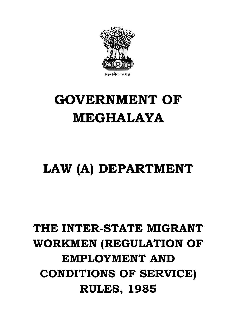

# **GOVERNMENT OF MEGHALAYA GOVERNMENT OF<br>MEGHALAYA<br>LAW (A) DEPARTMENT**

## **THE INTER-STATE MIGRANT WORKMEN (REGULATION OF EMPLOYMENT AND CONDITIONS OF SERVICE) REATE MIGRANT<br>RUREGULATION OF PLOYMENT AND<br>TIONS OF SERVICE)<br>RULES, 1985**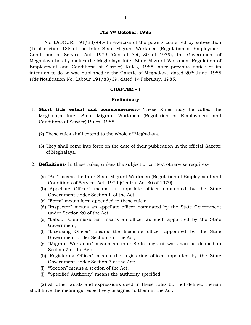### **The 7th October, 1985**

No. LABOUR. 191/83/44.- In exercise of the powers conferred by sub-section (1) of section 135 of the Inter State Migrant Workmen (Regulation of Employment The 7<sup>th</sup> October, 1985<br>
No. LABOUR. 191/83/44.- In exercise of the powers conferred by sub-section<br>
(1) of section 135 of the Inter State Migrant Workmen (Regulation of Employment<br>
Conditions of Service) Act, 1979 (Centra Meghalaya hereby makes the Meghalaya Inter-State Migrant Workmen (Regulation of Employment and Conditions of Service) Rules, 1985, after previous notice of its intention to do so was published in the Gazette of Meghalaya, dated  $20<sup>th</sup>$  June, 1985 *vide* Notification No. Labour 191/83/39, dated 1st February, 1985. provice) Rules, 1985, after provide Rules, 1985, after provide Gazette of Meghalaya, da<br>
(39, dated 1<sup>st</sup> February, 1985.<br> **CHAPTER – I**<br> **Preliminary** 

### **Preliminary**

- 1. **Short title extent and commencement-** These Rules may be called the Meghalaya Inter State Migrant Workmen (Regulation of Employment and Conditions of Service) Rules, 1985.
	- (2) These rules shall extend to the whole of Meghalaya.
- (3) They shall come into force on the date of their publication in the official Gazette of Meghalaya. 2. **Definitions-** In these rules, unless the subject or context otherwise requires-
- (a) **Definitions-** In these rules, unless the subject or context otherwise requires-<br>(a) "Act" means the Inter-State Migrant Workmen (Regulation of Employment and
	- Conditions of Service) Act, 1979 (Central Act 30 of 1979). (a) "Act" means the Inter-State Migrant Workmen (Re<br>
	Conditions of Service) Act, 1979 (Central Act 30 of<br>
	(b) "Appellate Officer" means an appellate officer<br>
	Government under Section II of the Act;<br>
	(c) "Form" means form a
- **Definitions-** In these rules, unless the subject or context otherwise requires-<br>(a) "Act" means the Inter-State Migrant Workmen (Regulation of Employment and<br>Conditions of Service) Act, 1979 (Central Act 30 of 1979).<br>(b) Government under Section II of the Act;
	-
	- Conditions of Service) Act, 1979 (Central Act 30 of 1979).<br>
	(b) "Appellate Officer" means an appellate officer nominated by the State Government under Section II of the Act;<br>
	(c) "Form" means form appended to these rules;<br> "Appellate Officer" means an<br>Government under Section II of t<br>"Form" means form appended to<br>"Inspector" means an appellate<br>under Section 20 of the Act;<br>"Labour Commissioner" means
	- Government under Section II of the Act;<br>
	(c) "Form" means form appended to these rules;<br>
	(d) "Inspector" means an appellate officer nominated by the State Government<br>
	under Section 20 of the Act;<br>
	(e) "Labour Commissioner" Government; (d) "Inspector" means an appellate officer nominated by the State Government<br>
	under Section 20 of the Act;<br>
	(e) "Labour Commissioner" means an officer as such appointed by the State<br>
	Government;<br>
	(f) "Licensing Officer" me (e) "Labour Commissioner" means an officer as such appointed by the State Government;<br>
	(f) "Licensing Officer" means the licensing officer appointed by the State Government under Section 7 of the Act;<br>
	(g) "Migrant Workman
	- Government under Section 7 of the Act; (f) "Licensing Officer" means the licensing officer appointed by the State<br>Government under Section 7 of the Act;<br>(g) "Migrant Workman" means an inter-State migrant workman as defined in<br>Section 2 of the Act:<br>(h) "Register
	- Section 2 of the Act:
	- Government under Section 3 of the Act; (g) "Migrant Workman" means an inter-Sta<br>
	Section 2 of the Act:<br>
	(h) "Registering Officer" means the register<br>
	Government under Section 3 of the Act;<br>
	(i) "Section" means a section of the Act;<br>
	(j) "Specified Authority" me (h) "Registering Officer" means the registering officer appointed by the State<br>Government under Section 3 of the Act;<br>(i) "Section" means a section of the Act;<br>(j) "Specified Authority" means the authority specified
	-
	-

(2) All other words and expressions used in these rules but not defined therein shall have the meanings respectively assigned to them in the Act.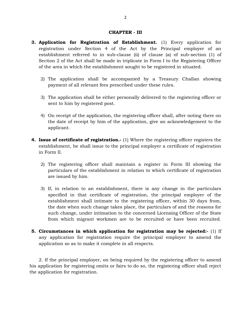- 2<br>**CHAPTER III<br>of Establishment** (1) E **3. Application for Registration of Establishment.** (1) Every application for registration under Section 4 of the Act by the Principal employer of an **CHAPTER - III**<br>**Application for Registration of Establishment.** (1) Every application for<br>registration under Section 4 of the Act by the Principal employer of an<br>establishment referred to in sub-clause (ii) of clause (a) **Application for Registration of Establishment.** (1) Every application for registration under Section 4 of the Act by the Principal employer of an establishment referred to in sub-clause (ii) of clause (a) of sub-section ( of the area in which the establishment sought to be registered in situated. establishment referred to in sub-clause (ii) of clause (a) of sub-section (1) of Section 2 of the Act shall be made in triplicate in Form I to the Registering Officer
	- payment of all relevant fees prescribed under these rules. 3) The application shall be accompanied by a Treasury Challan showing<br>payment of all relevant fees prescribed under these rules.<br>3) The application shall be either personally delivered to the registering officer or
	- sent to him by registered post.
- 4) The application shall be either personally delivered to the registering officer or sent to him by registered post.<br>4) On receipt of the application, the registering officer shall, after noting there on the date of recei The application shall be either personally delivered to the registering officer or<br>sent to him by registered post.<br>On receipt of the application, the registering officer shall, after noting there on<br>the date of receipt by applicant. 4) On receipt of the application, the registering officer shall, after noting there on the date of receipt by him of the application, give an acknowledgement to the applicant.<br> **4. Issue of certificate of registration.**- (
- establishment, he shall issue to the principal employer a certificate of registration in Form II. Some of **certificate of registration.** (1) Where the registering officer registers the establishment, he shall issue to the principal employer a certificate of registration in Form II.<br>2) The registering officer shall main
	- particulars of the establishment in relation to which certificate of registration are issued by him. 2) The registering officer shall maintain a register in Form III showing the particulars of the establishment in relation to which certificate of registration are issued by him.<br>3) If, in relation to an establishment, ther
- particulars of the establishment in relation to which certificate of registration<br>are issued by him.<br>If, in relation to an establishment, there is any change in the particulars<br>specified in that certificate of registration the date when such change takes place, the particulars of and the reasons for such change, under intimation to the concerned Licensing Officer of the State from which migrant workmen are to be recruited or have been recruited. the date when such change takes place, the particulars of and the reasons for such change, under intimation to the concerned Licensing Officer of the State from which migrant workmen are to be recruited or have been recrui
- any application for registration require the principal employer to amend the application so as to make it complete in all respects.<br>2. If the principal employer, on being required by the registering officer to amend applic from which migrant workmen are to be recruited<br>**Circumstances in which application for registration**<br>any application for registration require the principal<br>application so as to make it complete in all respects.

his application for registering omits or fairs to do so, the registering officer shall reject the application for registration.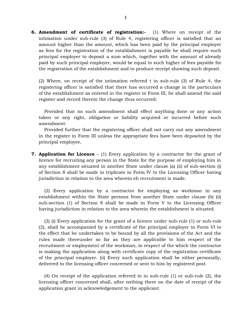**6. Amendment of certificate of registration:** (1) Where on receipt of the intimation under sub-rule (3) of Rule 4, registering officer is satisfied that an amount higher than the amount, which has been paid by the princi amount higher than the amount, which has been paid by the principal employer as fees for the registration of the establishment is payable he shall require such principal employer to deposit a sum which, together with the amount of already<br>paid by such principal employer, would be equal to such higher of fees payable for<br>the registration of the establishment and to produce receipt the registration of the establishment and to produce receipt showing such deposit.

registering officer is satisfied that there has occurred a change in the particulars (2) Where, on receipt of the intimation referred t in sub-rule (3) of Rule 4, the registering officer is satisfied that there has occurred a change in the particulars of the establishment as entered in the register in For register and record therein the change thus occurred:

Provided that no such amendment shall effect anything done or any action taken or any right, obligation or liability acquired or incurred before such amendment:

Provided further that the registering officer shall not carry out any amendment in the register in Form III unless the appropriate fees have been deposited by the principal employee, Provided further that the registering officer shall not carry out any amendment<br>in the register in Form III unless the appropriate fees have been deposited by the<br>principal employee,<br>**7. Application for Licence** − (1) Eve

any establishment situated in another State under clause (a) (ii) of sub-section (i) of Section 8 shall be made in triplicate in Form IV to the Licensing Officer having jurisdiction in relation to the area wherein eh recruitment is made. (2) exercy application by a contractor for employing as workman in any tablishment within the State persons from another State under clause (b) (ii)  $\frac{2}{3}$  Every application by a contractor for employing as workman in a

of Section 8 shall be made in triplicate in Form IV to the Licensing Officer having<br>jurisdiction in relation to the area wherein eh recruitment is made.<br>(2) Every application by a contractor for employing as workman in any sub-section (1) of Section 8 shall be made in Form V to the Licensing Officer having jurisdiction in relation to the area wherein the establishment is situated.

(3) (i) Every application for the grant of a licence under sub-rule (1) or sub-rule (2), shall be accompanied by a certificate of the principal employer in Form VI to the effect that he undertakes to be bound by all the provisions of the Act and the rules made thereunder so far as they are applicable to him respect of the rules made thereunder so far as they are applicable to him respec rules made thereunder so far as they are applicable to him respect of the recruitment or employment of the workman, in respect of the which the contractor is making the application along with certificate copy of the registration certificate of the principal employer. (ii) Every such application shall be either personally, delivered to the licensing officer concerned or sent to him by registered post.

(4) On receipt of the application referred to in sub-rule (1) or sub-rule (2), the licensing officer concerned shall, after nothing there on the date of receipt of the application grant in acknowledgement to the applicant.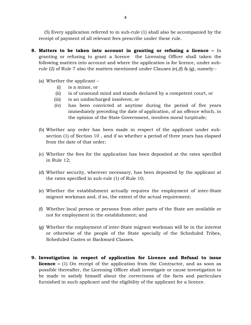(5) Every application referred to in sub-rule (1) shall also be accompanied by the receipt of payment of all relevant fees prescribe under these rule.

- **18. (5)** Every application referred to in sub-rule (1) shall also be accompanied by the receipt of payment of all relevant fees prescribe under these rule.<br> **8. Matters to be taken into account in granting or refusing a l** (5) Every application referred to in sub-rule (1) shall also be accompanied by the receipt of payment of all relevant fees prescribe under these rule.<br> **Matters to be taken into account in granting or refusing a licence** receipt of payment of all relevant fees prescribe under these rule.<br> **Matters to be taken into account in granting or refusing a licence –** In granting or refusing to grant a licence the Licensing Officer shall taken the f rule (2) of Rule 7 also the matters mentioned under Clauses (e),(f) & (g), namely:-<br>
(a) Whether the applicant –<br>
(i) is a minor, or<br>
(ii) is of unsound mind and stands declared by a competent court, or<br>
(iii) is an undisc granting or refusing to grant a licence<br>following matters into account and where the<br>rule (2) of Rule 7 also the matters mentione<br>(a) Whether the applicant –<br>(i) is a minor, or following matters into account and where the application is for licence, under sub-<br>rule (2) of Rule 7 also the matters mentioned under Clauses (e),(f) & (g), namely:-<br>(a) Whether the applicant –<br>(i) is a minor, or<br>(ii) i
	- -
		-
		-
	- ether the applicant –<br>
	(i) is a minor, or<br>
	(ii) is of unsound mind and stands declare<br>
	(iii) is an undischarged insolvent, or<br>
	(iv) has been convicted at anytime dur % ether the applicant –<br>
	(i) is a minor, or<br>
	(ii) is of unsound mind and stands declared by a competent court, or<br>
	(iii) is an undischarged insolvent, or<br>
	(iv) has been convicted at anytime during the period of five years<br> immediately preceding the date of application, of an offence which, in the opinion of the State Government, involves moral turpitude; (iv) has been convicted at anytime during the period of five years<br>immediately preceding the date of application, of an offence which, in<br>the opinion of the State Government, involves moral turpitude;<br>(b) Whether any order
	- from the date of that order; (b) Whether any order has been made in respect of the applicant under subsection (1) of Section 10 , and if so whether a period of three years has elapsed from the date of that order;<br>(c) Whether the fees for the applicat
	- in Rule 12;
	- (c) Whether the fees for the application has been deposited at the rates specified<br>in Rule 12;<br>(d) Whether security, wherever necessary, has been deposited by the applicant at<br>the rates specified in sub-rule (1) of Rule 1 the rates specified in sub-rule (1) of Rule 10; (d) Whether security, wherever necessary, has been deposited by the applicant at
	- migrant workman and, if so, the extent of the actual requirement; (e) Whether the establishment actually requires the employment of inter-State migrant workman and, if so, the extent of the actual requirement;<br>(f) Whether local person or persons from other parts of the State are availabl
	- not for employment in the establishment; and
	- (f) Whether local person or persons from other parts of the State are available or<br>not for employment in the establishment; and<br>(g) Whether the employment of inter-State migrant workman will be in the interest<br>or otherwise or otherwise of the people of the State specially of the Scheduled Tribes, Scheduled Castes or Backward Classes.
- **9. Investigation in respect of application for Licence and Refusal to issue**<br>**9. Investigation in respect of application for Licence and Refusal to issue**<br>**licence** (1) On receipt of the application from the Contractor, Scheduled Castes or Backward Classes.<br> **Investigation in respect of application for Licence and Refusal to issue**<br> **licence –** (1) On receipt of the application from the Contractor, and as soon as<br>
possible thereafter, the possible thereafter, the Licensing Officer shall investigate or cause investigation to be made to satisfy himself about the correctness of the facts and particulars **Investigation in respect of application for Licence and Refusal to issue licence** – (1) On receipt of the application from the Contractor, and as soon as possible thereafter, the Licensing Officer shall investigate or cau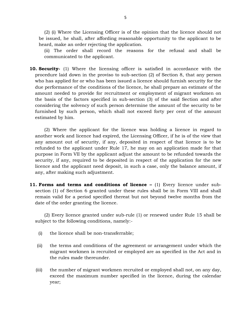(2) (i) Where the Licensing Officer is of the opinion that the licence should not be issued, he shall, after affording reasonable opportunity to the applicant to be heard, make an order rejecting the application. (2) (i) Where the Licensing Officer is of the opinion that the licence should not issued, he shall, after affording reasonable opportunity to the applicant to be ard, make an order rejecting the application.<br>
(ii) The ord

communicated to the applicant.

10. Security-<br>
10. Security-<br>
10. Security- (1) Where the licensing officer is satisfied in accordance with the<br>
10. Security- (1) Where the licensing officer is satisfied in accordance with the<br>
procedure laid down in the (ii) The order shall record the reasons for the refusal and shall be<br>communicated to the applicant.<br>**Security**- (1) Where the licensing officer is satisfied in accordance with the<br>procedure laid down in the proviso to sub **Security-** (1) Where the licensing officer is satisfied in accordance with the procedure laid down in the proviso to sub-section (2) of Section 8, that any person who has applied for or who has been issued a licence shoul due performance of the conditions of the licence, he shall prepare an estimate of the **all Security-** (1) Where the licensing officer is satisfied in accordance with the procedure laid down in the proviso to sub-section (2) of Section 8, that any person who has applied for or who has been issued a licence the basis of the factors specified in sub-section (3) of the said Section and after considering the solvency of such person determine the amount of the security to be furnished by such person, which shall not exceed forty per cent of the amount estimated by him.<br>(2) Where the applicant for the licence was furnished by such person, which shall not exceed forty per cent of the amount estimated by him.

another work and licence had expired, the Licensing Officer, if he is of the view that any amount out of security, if any, deposited in respect of that licence is to be (2) Where the applicant for the licence was holding a licence in regard to another work and licence had expired, the Licensing Officer, if he is of the view that any amount out of security, if any, deposited in respect of purpose in Form VII by the applicant adjust the amount to be refunded towards the another work and licence had expired, the Licensing Officer, if he is of the view that<br>any amount out of security, if any, deposited in respect of that licence is to be<br>refunded to the applicant under Rule 17, he may on an licence and the applicant need deposit, in such a case, only the balance amount, if any, after making such adjustment. **11. Forms and terms and conditions of licence** – (1) Every licence under sub-<br>**11. Forms and terms and conditions of licence** – (1) Every licence under sub-

section (1) of Section 6 granted under these rules shall be in Form VIII and shall remain valid for a period specified thereat but not beyond twelve months from the date of the order granting the licence.

(2) Every licence granted under sub-rule (1) or renewed under Rule 15 shall be subject to the following conditions, namely:- (2) Every licence granted under sub-rule (1) (abject to the following conditions, namely:-<br>(i) the licence shall be non-transferrable;

- 
- (i) the licence shall be non-transferrable;<br>(ii) the terms and conditions of the agreement or arrangement under which the<br>migrant workmen is recruited or employed are as specified in the Act and in migrant workmen is recruited or employed are as specified in the Act and in the rules made thereunder. (ii) the terms and conditions of the agreement or arrangement under which the migrant workmen is recruited or employed are as specified in the Act and in the rules made thereunder.<br>(iii) the number of migrant workmen recru
- exceed the maximum number specified in the licence, during the calendar year;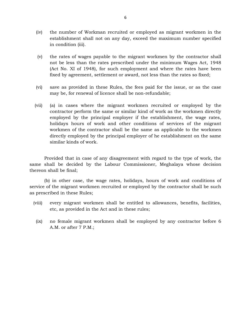- $\tag{iv}$  the number of Workman recruited or employed as migrant workmen in the establishment shall not on any day, exceed the maximum number specified establishment shall not on any day, exceed the maximum number specified the number of Work:<br>establishment shall 1<br>in condition (iii). (v) the number of Workman recruited or employed as migrant workmen in the establishment shall not on any day, exceed the maximum number specified in condition (iii).<br>(v) the rates of wages payable to the migrant workmen by
- not be less than the rates prescribed under the minimum Wages Act, 1948 (Act No. XI of 1948), for such employment and where the rates have been the rates of wages payable to the migrant workmen by the contractor shall<br>not be less than the rates prescribed under the minimum Wages Act, 1948<br>(Act No. XI of 1948), for such employment and where the rates have been<br>fixe not be less than the rates prescribed under the minimum Wages Act, 1948<br>(Act No. XI of 1948), for such employment and where the rates have been<br>fixed by agreement, settlement or award, not less than the rates so fixed;<br>(vi
- may be, for renewal of licence shall be non-refundable;
- (vi) save as provided in these Rules, the fees paid for the issue, or as the case<br>may be, for renewal of licence shall be non-refundable;<br>(vii) (a) in cases where the migrant workmen recruited or employed by the<br>contractor contractor perform the same or similar kind of work as the workmen directly employed by the principal employer if the establishment, the wage rates, holidays hours of work and other conditions of services of the migrant (a) in cases where the migrant workmen recruited or employed by the contractor perform the same or similar kind of work as the workmen directly employed by the principal employer if the establishment, the wage rates, holid similar kinds of work.

Provided that in case of any disagreement with regard to the type of work, the same shall be decided by the Labour Commissioner, Meghalaya whose decision thereon shall be final;

(b) in other case, the wage rates, holidays, hours of work and conditions of service of the migrant workmen recruited or employed by the contractor shall be such as prescribed in these Rules; (b) in other case, the wage rates, holidays, hours of work and conditions of ervice of the migrant workmen recruited or employed by the contractor shall be such sprescribed in these Rules;<br>(viii) every migrant workmen shal

- etc, as provided in the Act and in these rules; (iii) every migrant workmen shall be entitled to allowances, benefits, facilities,<br>etc, as provided in the Act and in these rules;<br>(ix) no female migrant workmen shall be employed by any contractor before 6
- A.M. or after 7 P.M.;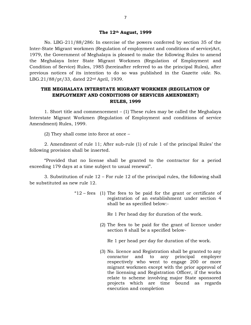# **The 12th August, 1999**

The 12<sup>th</sup> August, 1999<br>No. LBG-211/88/286: In exercise of the powers conferred by section 35 of the Inter-State Migrant workmen (Regulation of employment and conditions of service)Act, 1979, the Government of Meghalaya is pleased to make the following Rules to amend the Meghalaya Inter State Migrant Workmen (Regulation of Employment and Condition of Service) Rules, 1985 (hereinafter referred to as the principal Rules), after previous notices of its intention to do so was published in the Gazette *vide.* No. LBG.21/88/pt/33, dated 22nd April, 1939. ition of Service) Rules, 1985 (hereinafter referred to as the principal Rules), after<br>ous notices of its intention to do so was published in the Gazette *vide*. No.<br>21/88/pt/33, dated 22<sup>nd</sup> April, 1939.<br>**THE MEGHALAYA INT** 

## notices of its intention to do so was published in the Gazette vide<br>  $8/pt/33$ , dated 22<sup>nd</sup> April, 1939.<br> **MEGHALAYA INTERSTATE MIGRANT WORKMEN (REGULATION OF EMPLOYMENT AND CONDITIONS OF SERVICES AMENDMENT)**<br> **RULES, 1999 RULES, 1999** 1. Short title and commencement – (1) These rules may be called the Meghalaya<br>1. Short title and commencement – (1) These rules may be called the Meghalaya<br>1. Short title and commencement – (1) These rules may be called th

Interstate Migrant Workmen (Regulation of Employment and conditions of service Amendment) Rules, 1999. 1. Short title and commencement – (1) These rules may be called the Meghalaya ate Migrant Workmen (Regulation of Employment and conditions of service lment) Rules, 1999.<br>(2) They shall come into force at once –

2. Amendment of rule 11; After sub-rule (1) of rule 1 of the principal Rules' the following provision shall be inserted. (2) They shall come into force at once –<br>2. Amendment of rule 11; After sub-rule (1) of rule 1 of the principal Rules' the<br>ng provision shall be inserted.<br>"Provided that no license shall be granted to the contractor for a

exceeding 179 days at a time subject to usual renewal". may provision shall be inserted.<br>
"Provided that no license shall be granted to the contractor for a period<br>
ing 179 days at a time subject to usual renewal".<br>
3. Substitution of rule 12 – For rule 12 of the principal rule

be substituted as new rule 12. 3. Substitution of rule  $12$  – For rule 12 of the principal rules, the following shall stituted as new rule 12.<br>
" $12$  – fees (1) The fees to be paid for the grant or certificate of

registration of an establishment under section 4 shall be as specified below:-

Re 1 Per head day for duration of the work.

registration or an establishment under section 4<br>shall be as specified below:-<br>Re 1 Per head day for duration of the work.<br>(2) The fees to be paid for the grant of licence under<br>section 8 shall be a specified belowsection 8 shall be a specified below-(2) The fees to be paid for the grant of licence under<br>section 8 shall be a specified below-<br>Re 1 per head per day for duration of the work.

(3) No. licence and Registration shall be granted to any conractor and to respectively who went to engage 200 or more migrant workmen except with the prior approval of the licensing and Registration Officer, if the works relate to scheme involving major State sponsored projects which are time bound as regards execution and completion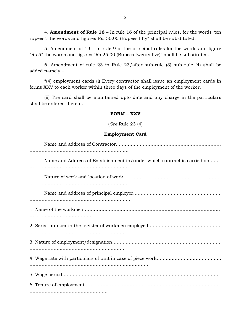4. **Amendment of Rule 16 –** In rule 16 of the principal rules, for the words 'ten rupees', the words and figures Rs. 50.00 (Rupees fifty" shall be substituted.

4. **Amendment of Rule 16** – In rule 16 of the principal rules, for the words 'ten', the words and figures Rs. 50.00 (Rupees fifty" shall be substituted.<br>5. Amendment of 19 – In rule 9 of the principal rules for the words "Rs 5" the words and figures "Rs.25.00 (Rupees twenty five)" shall be substituted.

6. Amendment of rule 23 in Rule 23/after sub-rule (3) sub rule (4) shall be 5. Amendment of  $19 - Ir$ <br>
"Rs 5" the words and figures "Rs<br>
6. Amendment of rule 2<br>
added namely –<br>
"(4) employment cards (i)

"(4) employment cards (i) Every contractor shall issue an employment cards in forms XXV to each worker within three days of the employment of the worker.

(ii) The card shall be maintained upto date and any charge in the particulars shall be entered therein. ee days of the employment<br>ned upto date and any cl<br>**FORM – XXV**<br>See Rule 23 (4)

(*See* Rule 23 (4)

### **Employment Card**

| Employment Card                                                         |
|-------------------------------------------------------------------------|
|                                                                         |
| Name and Address of Establishment in/under which contract is carried on |
|                                                                         |
|                                                                         |
|                                                                         |
|                                                                         |
|                                                                         |
|                                                                         |
|                                                                         |
|                                                                         |
|                                                                         |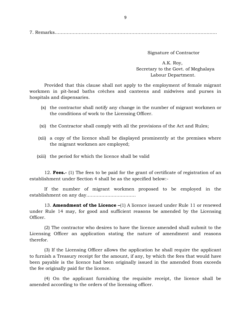Signature of Contractor

A.K. Roy, Secretary to the Govt. of Meghalaya Labour Department.

Provided that this clause shall not apply to the employment of female migrant workmen in pit-head baths crèches and canteens and midwives and purses in hospitals and dispensaries. Provided that this clause shall not apply to the employment of female migrant<br>men in pit-head baths crèches and canteens and midwives and purses in<br>itals and dispensaries.<br>(x) the contractor shall notify any change in the

- the conditions of work to the Licensing Officer. (x) the contractor shall notify any change in the number of migrant workmen or<br>the conditions of work to the Licensing Officer.<br>(xi) the Contractor shall comply with all the provisions of the Act and Rules;
- 
- the conditions of work to the Licensing Officer.<br>
(xi) the Contractor shall comply with all the provisions of the Act and Rules;<br>
(xii) a copy of the licence shall be displayed prominently at the premises where<br>
the migran the migrant workmen are employed; (xii) a copy of the licence shall be displayed prominently<br>the migrant workmen are employed;<br>(xiii) the period for which the licence shall be valid
- 

12. **Fees.**- (1) The fees to be paid for the grant of certificate of registration of an shment under Section 4 shall be as the specified below:establishment under Section 4 shall be as the specified below:- 12. **Fees.**- (1) The fees to be paid for the grant of certificate of registration of an shment under Section 4 shall be as the specified below:-<br>If the number of migrant workmen proposed to be employed in the shment on any

establishment on any day…………………………… If the number of migrant workmen proposed to be employed in the shment on any day..............................<br>13. **Amendment of the Licence** –(1) A licence issued under Rule 11 or renewed

under Rule 14 may, for good and sufficient reasons be amended by the Licensing Officer.

(2) The contractor who desires to have the licence amended shall submit to the Licensing Officer an application stating the nature of amendment and reasons therefor.

(3) If the Licensing Officer allows the application he shall require the applicant Licensing Officer an application stating the nature of amendment and reasons<br>therefor.<br>(3) If the Licensing Officer allows the application he shall require the applicant<br>to furnish a Treasury receipt for the amount, if any been payable is the licensing officer allows the application he shall require the applicant<br>to furnish a Treasury receipt for the amount, if any, by which the fees that would have<br>been payable is the licence had been origi the fee originally paid for the licence. been payable is the licence had been originally issued in the amended from exceeds<br>the fee originally paid for the licence.<br>(4) On the applicant furnishing the requisite receipt, the licence shall be<br>amended according to t

(4) On the applicant furnishing the requisite receipt, the licence shall be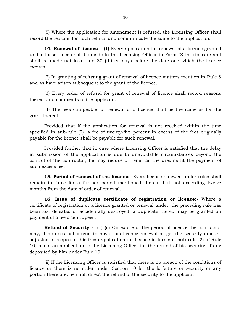(5) Where the application for amendment is refused, the Licensing Officer shall record the reasons for such refusal and communicate the same to the application.

**14. Renewal of licence –** (1) Every application for renewal of a licence granted under these rules shall be made to the Licensing Officer in Form IX in triplicate and shall be made not less than 30 (thirty) days before the date one which the licence expires.

(2) In granting of refusing grant of renewal of licence matters mention in Rule 8 and as have arisen subsequent to the grant of the licence.

(3) Every order of refusal for grant of renewal of licence shall record reasons thereof and comments to the applicant.

(4) The fees chargeable for renewal of a licence shall be the same as for the grant thereof.

r and comments to the applicant.<br>(4) The fees chargeable for renewal of a licence shall be the same as for the<br>hereof.<br>Provided that if the application for renewal is not received within the time<br>ed in sub-rule (2), a fee (4) The fees chargeable for renewal of a licence shall be the same as for the grant thereof.<br>
Provided that if the application for renewal is not received within the time<br>
specified in sub-rule (2), a fee of twenty-five pe payable for the licence shall be payable for such renewal is not received in sub-rule (2), a fee of twenty-five percent in excess payable for the licence shall be payable for such renewal.

Provided further that in case where Licensing Officer is satisfied that the delay in submission of the application is due to unavoidable circumstances beyond the payable for the licence shall be payable for such renewal.<br>Provided further that in case where Licensing Officer is satisfied that the delay<br>in submission of the application is due to unavoidable circumstances beyond the<br>c such excess fee.

**15. Period of renewal of the licence:-** Every licence renewed under rules shall months from the date of order of renewal.

Fremain in force for a further period mentioned therein but not exceeding twelve<br>
months from the date of order of renewal.<br> **16. Issue of duplicate certificate of registration or licence:** Where a<br>
certificate of registra **16. Issue of duplicate certificate of registration or licence:-** Where a been lost defeated or accidentally destroyed, a duplicate thereof may be granted on certificate of registration or a licence granted or renewal under the preceding rule has<br>been lost defeated or accidentally destroyed, a duplicate thereof may be granted on<br>payment of a fee a ten rupees.<br>**Refund of Securit** ate of registration or a licence granted or renewal under the preceding rule has<br>ost defeated or accidentally destroyed, a duplicate thereof may be granted on<br>nt of a fee a ten rupees.<br>**Refund of Security** - (1) (ii) On ex

may, if he does not intend to have his licence renewal or get the security of a fee a ten rupees.<br> **Refund of Security** - (1) (ii) On expire of the period of licence the contractor may, if he does not intend to have his li adjusted in respect of his fresh application for licence in terms of sub-rule (2) of Rule 10, make an application to the Licensing Officer for the refund of his security, if any deposited by him under Rule 10.

(ii) If the Licensing Officer is satisfied that there is no breach of the conditions of licence or there is no order under Section 10 for the forfeiture or security or any portion therefore, he shall direct the refund of the security to the applicant.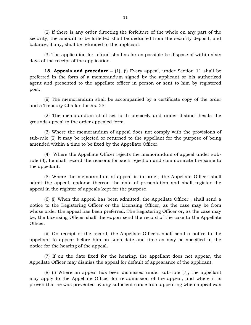(2) If there is any order directing the forfeiture of the whole on any part of the security, the amount to be forfeited shall be deducted from the security deposit, and balance, if any, shall be refunded to the applicant. (2) If there is any order directing the forfeiture of the whole on any part of the y, the amount to be forfeited shall be deducted from the security deposit, and e, if any, shall be refunded to the applicant.<br>(3) The appl

days of the receipt of the application.

**18. Appeals and procedure –** (1), (i) Every appeal, under Section 11 shall be preferred in the form of a memorandum signed by the applicant or his authorized days of the receipt of the application.<br> **18. Appeals and procedure**  $- (1)$ , (i) Every appeal, under Section 11 shall be preferred in the form of a memorandum signed by the applicant or his authorized agent and presented post.

(ii) The memorandum shall be accompanied by a certificate copy of the order and a Treasury Challan for Rs. 25.

(2) The memorandum shall set forth precisely and under distinct heads the grounds appeal to the order appealed form.

(3) Where the memorandum of appeal does not comply with the provisions of sub-rule (2) it may be rejected or returned to the appellant for the purpose of being grounds appeal to the order appealed form.<br>
(3) Where the memorandum of appeal does not comply with<br>
sub-rule (2) it may be rejected or returned to the appellant for the<br>
amended within a time to be fixed by the Appellate

(4) Where the Appellate Officer rejects the memorandum of appeal under subrule (3), he shall record the reasons for such rejection and communicate the same to the appellant. (4) Where the Appellate Officer rejects the memorandum of appeal under sub-<br>), he shall record the reasons for such rejection and communicate the same to<br>pellant.<br>(5) Where the memorandum of appeal is in order, the Appella

admit the appeal, endorse thereon the date of presentation and shall register the appeal in the register of appeals kept for the purpose.

(6) (i) When the appeal has been admitted, the Appellate Officer , shall send a notice to the Registering Officer or the Licensing Officer, as the case may be from whose order the appeal has been preferred. The Registering Officer or, as the case may be, the Licensing Officer shall thereupon send the record of the case to the Appellate Officer. (ii) On receipt of the record, the Appellate Officers shall send a notice to the Appellate<br>(ii) On receipt of the record, the Appellate Officers shall send a notice to the<br>(iii) On receipt of the record, the Appellate Offi

appellant to appear before him on such date and time as may be specified in the notice for the hearing of the appeal.

(7) If on the date fixed for the hearing, the appellant does not appear, the Appellate Officer may dismiss the appeal for default of appearance of the applicant.

16) (7) If on the date fixed for the hearing, the appellant does not appear, the Appellate Officer may dismiss the appeal for default of appearance of the applicant.<br>
18) (i) Where an appeal has been dismissed under sub-ru Appellate Officer may dismiss the appeal for default of appearance of the applicant.<br>
(8) (i) Where an appeal has been dismissed under sub-rule (7), the appellant<br>
may apply to the Appellate Officer for re-admission of th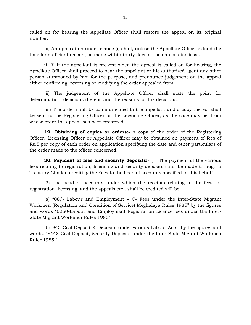called on for hearing the Appellate Officer shall restore the appeal on its original number.

(ii) An application under clause (i) shall, unless the Appellate Officer extend the time for sufficient reason, be made within thirty days of the date of dismissal.

1. (ii) An application under clause (i) shall, unless the Appellate Officer extend the time for sufficient reason, be made within thirty days of the date of dismissal.<br>9. (i) If the appellant is present when the appeal is person summoned by him for the purpose, and pronounce judgement on the appeal<br>either confirming, reversing or modifying the order appeal is called on for hearing, the<br>Appellate Officer shall proceed to hear the appellant o either confirming, reversing or modifying the order appealed from.

(ii) The judgement of the Appellate Officer shall state the point for determination, decisions thereon and the reasons for the decisions.

(iii) The order shall be communicated to the appellant and a copy thereof shall be sent to the Registering Officer or the Licensing Officer, as the case may be, from whose order the appeal has been preferred. Fig. 19. Obtaining of copies or orders:- A copy of the order of the Registering Officer, as the case may be, from order the appeal has been preferred.<br> **19. Obtaining of copies or orders:**- A copy of the order of the Regis

Officer, Licensing Officer or Appellate Officer may be obtained on payment of fees of Rs.5 per copy of each order on application specifying the date and other particulars of 19. Obtaining of copies or orders:-<br>Officer, Licensing Officer or Appellate Officer<br>Rs.5 per copy of each order on application specher made to the officer concerned.<br>20. Payment of fees and security de

**20. Payment of fees and security deposits:-** (1) The payment of the various fees relating to registration, licensing and security deposits shall be made through a Treasury Challan crediting the Fees to the head of accounts specified in this behalf.

(2) The head of accounts under which the receipts relating to the fees for registration, licensing, and the appeals etc., shall be credited will be.

I reasury Challan creating the Fees to the head of accounts specified in this benafit.<br>
(2) The head of accounts under which the receipts relating to the fees for<br>
registration, licensing, and the appeals etc., shall be cr and words "0260-Labour and Employment Registration Licence fees under the Inter-State Migrant Workmen Rules 1985".

(b) '843-Civil Deposit-K-Deposits under various Labour Acts" by the figures and words. "8443-Civil Deposit, Security Deposits under the Inter-State Migrant Workmen Ruler 1985."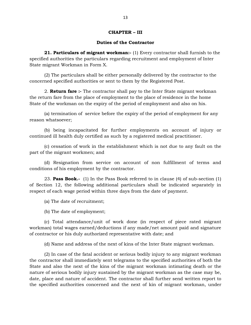# 13<br>**CHAPTER – III**<br>es of the Contractor

### **Duties of the Contractor**

**21. Particulars of migrant workman:-** (1) Every contractor<br>**21. Particulars of migrant workman:-** (1) Every contractor shall furnish to the<br>ed authorities the particulars regarding recruitment and employment of Inter **Specified authorities of migrant workman:-** (1) Every contractor shall furnish to the specified authorities the particulars regarding recruitment and employment of Inter State migrant Workman in Form X. State migrant Workman in Form X.

(2) The particulars shall be either personally delivered by the contractor to the concerned specified authorities or sent to them by the Registered Post.

migrant Workman in Form X.<br>(2) The particulars shall be either personally delivered by the contractor to the<br>ned specified authorities or sent to them by the Registered Post.<br>2. **Return fare :-** The contractor shall pay to the return fare from the place of employment to the place of residence in the home State of the workman on the expiry of the period of employment and also on his. 2. **Return fare :-** The contractor shall pay to the Inter State migrant workman urn fare from the place of employment to the place of residence in the home of the workman on the expiry of the period of employment and also

reason whatsoever;

(b) being incapacitated for further employments on account of injury or continued ill health duly certified as such by a registered medical practitioner.

(c) cessation of work in the establishment which is not due to any fault on the part of the migrant workmen; and

(d) Resignation from service on account of non fulfillment of terms and conditions of his employment by the contractor.

23. **Pass Book.-** (1) In the Pass Book referred to in clause (4) of sub-section (1) of Section 12, the following additional particulars shall be indicated separately in respect of each wage period within three days from the date of payment.

(a) The date of recruitment;

(b) The date of employment;

(c) Total attendance/unit of work done (in respect of piece rated migrant workman) total wages earned/deductions if any made/net amount paid and signature of contractor or his duly authorized representative with date; and (c) Total attendance/unit of work done (in respect of piece rated migrant<br>an) total wages earned/deductions if any made/net amount paid and signature<br>ractor or his duly authorized representative with date; and<br>(d) Name and

(2) In case of the fatal accident or serious bodily injury to any migrant workman the contractor shall immediately sent telegrams to the specified authorities of both the (d) Name and address of the next of kins of the Inter State migrant workman.<br>
(2) In case of the fatal accident or serious bodily injury to any migrant workman<br>
the contractor shall immediately sent telegrams to the specif nature of serious bodily injury sustained by the migrant workman as the case may be, (2) In case of the fatal accident or serious bodily injury to any migrant workman<br>the contractor shall immediately sent telegrams to the specified authorities of both the<br>State and also the next of the kins of the migrant the contractor shall immediately sent telegrams to the specified authorities of both the State and also the next of the kins of the migrant workman intimating death or the nature of serious bodily injury sustained by the m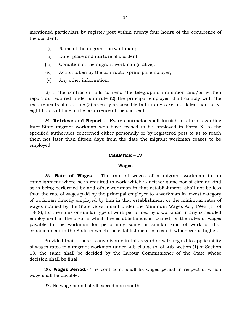$$\sf 14$$  mentioned particulars by register post within twenty four hours of the occurrence of the accident:the accident:- (i) ed particulars by register post within twenty<br>(i) Name of the migrant the workman;<br>ii) Date, place and nurture of accident; (i) particulars by register post within twenty<br>(i) Name of the migrant the workman;<br>(ii) Date, place and nurture of accident;<br>(iii) Condition of the migrant workman (if aliv

- 
- 
- (ii) Date, place and nurture of accident;<br>
(iii) Condition of the migrant workman (if alive);<br>
(iv) Action taken by the contractor/principal em<br>
(v) Any other information.
- (i) Name of the migrant the workman;<br>
(ii) Date, place and nurture of accident;<br>
(iii) Condition of the migrant workman (if alive);<br>
(iv) Action taken by the contractor/principal employ (i) Name of the migrant the workman;<br>
(ii) Date, place and nurture of accident;<br>
(iii) Condition of the migrant workman (if alive);<br>
(iv) Action taken by the contractor/principal employer;<br>
(v) Any other information.
- 

(3) If the contractor fails to send the telegraphic intimation and/or written report as required under sub-rule (2) the principal employer shall comply with the requirements of sub-rule (2) as early as possible but in any case not later than forty-<br>eight hours of time of the occurrence of the accide requirements of sub-rule (2) as early as possible but in any case not later than fortyeight hours of time of the occurrence of the accident.

Inter-State migrant workman who have ceased to be employed in Form XI to the specified authorities concerned either personally or by registered post to as to reach<br>them not later than fifteen days from the date the migrant workman ceases to be<br>employed.<br>**CHAPTER – IV**<br>Wages them not later than fifteen days from the date the migrant workman ceases to be employed.

### **Wages**

**CHAPTER – IV<br>Wages<br>25. <b>Rate of Wages –** The rate of wages of a migrant workman in an establishment where he is required to work which is neither same nor of similar kind as is being performed by and other workman in that establishment, shall not be less 25. **Rate of Wages** – The rate of wages of a migrant workman in an establishment where he is required to work which is neither same nor of similar kind as is being performed by and other workman in that establishment, shal 25. **Rate of Wages** – The rate of wages of a migrant workman in an establishment where he is required to work which is neither same nor of similar kind as is being performed by and other workman in that establishment, shal establishment where he is required to work which is neither same nor of similar kind<br>as is being performed by and other workman in that establishment, shall not be less<br>than the rate of wages paid by the principal employer 1848), for the same or similar type of work performed by a workman in any scheduled employment in the area in which the establishment is located, or the rates of wages payable to the workman for performing same or similar kind of work of that establishment in the State in which the establishment is located, whichever is higher.

Provided that if there is any dispute in this regard or with regard to applicability of wages rates to a migrant workman under sub-clause (b) of sub-section (1) of Section 13, the same shall be decided by the Labour Commissioner of the State whose decision shall be final.

26. **Wages Period.-** The contractor shall fix wages period in respect of which wage shall be payable. n snall be final.<br>26. **Wages Period.**- The contractor shall fi<br>hall be payable.<br>27. No wage period shall exceed one month.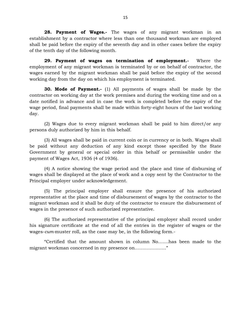**28. Payment of Wages.-** The wages of any migrant workman in an establishment by a contractor where less than one thousand workman are employed shall be paid before the expiry of the seventh day and in other cases before the expiry of the tenth day of the following month.<br> **29. Payment** shall be paid before the expiry of the seventh day and in other cases before the expiry of the tenth day of the following month.

employment of any migrant workman is terminated by or on behalf of contractor, the wages earned by the migrant workman shall be paid before the expiry of the second working day from the day on which his employment is terminated.

**30. Mode of Payment.-** (1) All payments of wages shall be made by the contractor on working day at the work premises and during the working time and on a date notified in advance and in case the work is completed before the expiry of the **30. Mode of Payment.** (1) All payments of wages shall be made by the contractor on working day at the work premises and during the working time and on a date notified in advance and in case the work is completed before t day.

(2) Wages due to every migrant workman shall be paid to him direct/or any persons duly authorized by him in this behalf.

(3) All wages shall be paid in current coin or in currency or in both. Wages shall be paid without any deduction of any kind except those specified by the State Government by general or special order in this behalf or permissible under the payment of Wages Act, 1936 (4 of 1936).

(4) A notice showing the wage period and the place and time of disbursing of wages shall be displayed at the place of work and a copy sent by the Contractor to the Principal employer under acknowledgement. (4) A notice showing the wage period and the place and time of disbursing of shall be displayed at the place of work and a copy sent by the Contractor to the pal employer under acknowledgement.<br>
(5) The principal employer

representative at the place of work and a copy sent by the Contractor to the<br>Principal employer under acknowledgement.<br>(5) The principal employer shall ensure the presence of his authorized<br>representative at the place and migrant workman and it shall be duty of the contractor to ensure the disbursement of wages in the presence of such authorized representative.

(6) The authorized representative of the principal employer shall record under his signature certificate at the end of all the entries in the register of wages or the wages-*cum-*muster roll, as the case may be, in the following form.-

"Certified that the amount shown in column No…….has been made to the migrant workman concerned in my presence on…………………"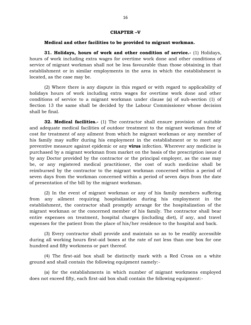## 16<br>**CHAPTER –V**<br>**to be provided to migrant v Medical and other facilities to be provided to migrant workman.**

**31. Holidays, hours of work and other condition of service.-** (1) Holidays, **CHAPTER -V**<br> **Medical and other facilities to be provided to migrant workman.**<br> **31. Holidays, hours of work and other condition of service.**- (1) Holidays,<br>
hours of work including extra wages for overtime work done and service of migrant workman shall not be less favourable than those obtaining in that establishment or in similar employments in the area in which the establishment is located, as the case may be.

(2) Where there is any dispute in this regard or with regard to applicability of holidays hours of work including extra wages for overtime work done and other conditions of service to a migrant workman under clause (a) of sub-section (1) of (2) Where there is any dispute in this regard or with regard to applicability of holidays hours of work including extra wages for overtime work done and other conditions of service to a migrant workman under clause (a) of shall be final.

**32. Medical facilities.-** (1) The contractor shall ensure provision of suitable and adequate medical facilities of outdoor treatment to the migrant workman free of constraint from the migrant of any ailment  $\sigma$  and  $\sigma$  and  $\sigma$  are constant to the migrant workman of suitable and adequate medical facilities of outdoor treatment to the migrant workman free of cost for treatment of an preventive measure against epidemic or any **virus** infection. Wherever any medicine is purchased by a migrant workman from market on the basis of the prescription issue d cost for treatment of any ailment from which he migrant workman or any member of<br>his family may suffer during his employment in the establishment or to meet any<br>preventive measure against epidemic or any **virus** infection. be, or any registered medical practitioner, the cost of such medicine shall be reimbursed by the contractor to the migrant workman concerned within a period of seven days from the workman concerned within a period of seven days from the date of presentation of the bill by the migrant workman.

(2) In the event of migrant workman or any of his family members suffering from any ailment requiring hospitalization during his employment in the establishment of the bill by the migrant workman.<br>
(2) In the event of migrant workman or any of his family members suffering<br>
from any ailment requiring hospitalization during his employment in the<br>
establishment, the con (2) In the event of migrant workman or any of his family members suffering<br>from any ailment requiring hospitalization during his employment in the<br>establishment, the contractor shall promptly arrange for the hospitalizatio entire expenses on treatment, hospital charges (including diet), if any, and travel expenses for the patient from the place of his/her residence to the hospital and back.

(3) Every contractor shall provide and maintain so as to be readily accessible during all working hours first-aid boxes at the rate of not less than one box for one hundred and fifty workmens or part thereof.

(4) The first-aid box shall be distinctly mark with a Red Cross on a white ground and shall contain the following equipment namely:-

(a) for the establishments in which number of migrant workmens employed does not exceed fifty, each first-aid box shall contain the following equipment:-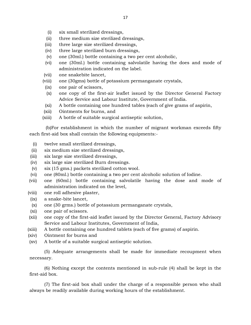- 
- 17<br>(i) six small sterilized dressings,<br>ii) three medium size sterilized dress 17<br>
(i) six small sterilized dressings,<br>
(ii) three medium size sterilized dressings,<br>
iii) three large size sterilized dressings, (i) six small sterilized dressings,<br>
(ii) three medium size sterilized dressings,<br>
(iii) three large size sterilized dressings,<br>
(iv) three large sterilized burn dressings,
- 
- 
- (i) six small sterilized dressings,<br>
(ii) three medium size sterilized dressings,<br>
(iii) three large size sterilized dressings,<br>
(iv) three large sterilized burn dressings,<br>
(v) one (30ml.) bottle containing a two per ce
- (i) six small sterilized dressings,<br>
(ii) three medium size sterilized dressings,<br>
iii) three large size sterilized dressings,<br>
iv) three large sterilized burn dressings,<br>
(v) one (30ml.) bottle containing a two per cent a (ii) three medium size sterilized dressings,<br>
(iii) three large size sterilized dressings,<br>
(iv) three large sterilized burn dressings,<br>
(v) one (30ml.) bottle containing a two per cent alcoholic,<br>
(vi) one (30ml.) bottle administration indicated on the label. (iv) three large sterilized burn<br>
(v) one (30ml.) bottle containi<br>
(vi) one (30ml.) bottle containi<br>
administration indicated c<br>
(vii) one snakebite lancet,<br>
viii) one (30gms) bottle of pota (v) one (30ml.) bottle containing a two per cent alcoholic,<br>
(vi) one (30ml.) bottle containing salvolatile having the does a<br>
administration indicated on the label.<br>
(vii) one snakebite lancet,<br>
(viii) one (30gms) bottle (vi) one (30ml.) bottle conta<br>
administration indicated<br>
vii) one snakebite lancet,<br>
viii) one (30gms) bottle of pot<br>
(ix) one pair of scissors,<br>
(x) one copy of the first-air
- 
- 
- 
- (x) one snakebite lancet,<br>
xii) one snakebite lancet,<br>
iii) one (30gms) bottle of potassium permanganate crystals,<br>
ix) one pair of scissors,<br>
(x) one copy of the first-air leaflet issued by the Director General Factory<br>
A Advice Service and Labour Institute, Government of India. (iii) one (30gms) bottle of potassium permanganate crystals,<br>
(ix) one pair of scissors,<br>
(x) one copy of the first-air leaflet issued by the Director General Factory<br>
Advice Service and Labour Institute, Government of Ind (ix) one pair of scissors,<br>
(x) one copy of the first-air leaflet is:<br>
Advice Service and Labour Institute<br>
(xi) A bottle containing one hundred ta<br>
(xii) Ointments for burns, and<br>
xiii) A bottle of suitable surgical antis (x) one copy of the first-air leaflet issued by the Dire<br>Advice Service and Labour Institute, Government of<br>(xii) A bottle containing one hundred tables (each of give<br>(xii) Ointments for burns, and<br>(xiii) A bottle of suita
- 
- 
- 

(b)For establishment in which the number of migrant workman exceeds fifty each first-aid box shall contain the following equipments:- (xiii) A bottle of suitable surgical and<br>
(b) For establishment in which the r<br>
ach first-aid box shall contain the following<br>
(i) twelve small sterilized dressings,<br>
(ii) six medium size sterilized dressings, (b)For establishment in which the num<br>ach first-aid box shall contain the following equ<br>(i) twelve small sterilized dressings,<br>(ii) six medium size sterilized dressings,<br>(iii) six large size sterilized dressings, (i) six large size sterilized dressings,<br>
(ii) twelve small sterilized dressings,<br>
(iii) six medium size sterilized dressings,<br>
(iii) six large size sterilized dressings,<br>
(iv) six large size sterilized Burn dressings

- 
- 
- 
- 
- (i) twelve small sterilized dressings,<br>
(ii) six medium size sterilized dressings,<br>
(iii) six large size sterilized dressings,<br>
(iv) six large size sterilized Burn dressings.<br>
(v) six (15 gms.) packets sterilized cotton wo
- (i) twelve small sterilized dressings,<br>
(ii) six medium size sterilized dressings,<br>
iii) six large size sterilized Burn dressings.<br>
(v) six (15 gms.) packets sterilized cotton wool.<br>
(vi) one (80ml.) bottle containing a tw
- (ii) six medium size sterilized dressings,<br>
(iii) six large size sterilized dressings,<br>
(iv) six (15 gms.) packets sterilized cotton wool.<br>
(vi) one (80ml.) bottle containing a two per cent alcoholic solution of Iodine.<br>
( (iii) six large size sterilized dressings,<br>
(iv) six large size sterilized Burn dressings.<br>
(v) six (15 gms.) packets sterilized cotton wool.<br>
(vi) one (80ml.) bottle containing a two per cent alcoholic solution of Iodine. administration indicated on the level, (v)  $\sin(15 \text{ gms.})$  packets sterilized (vi) one (80ml.) bottle containing a (vii) one (60ml.) bottle containing administration indicated on the (viii) one roll adhesive plaster, (ix) a snake-bite lancet, (vi) one (80ml.) bottle contain<br>
vii) one (60ml.) bottle contain<br>
administration indicated<br>
viii) one roll adhesive plaster<br>
(ix) a snake-bite lancet,<br>
(x) one (30 grms.) bottle of p (vii) one (60ml.) bottle containing salvolatile having the dose and mode of administration indicated on the level,<br>
(viii) one roll adhesive plaster,<br>
(ix) a snake-bite lancet,<br>
(x) one (30 grms.) bottle of potassium perma
- 
- 
- 
- 
- administration indicated<br>
iii) one roll adhesive plaster,<br>
(ix) a snake-bite lancet,<br>
(x) one (30 grms.) bottle of p<br>
(xi) one pair of scissors.<br>
xii) one copy of the first-aid (ix) one roll adhesive plaster,<br>
(ix) a snake-bite lancet,<br>
(x) one (30 grms.) bottle of potassium permanganate crystals,<br>
(xi) one pair of scissors.<br>
(xii) one copy of the first-aid leaflet issued by the Director General, Service and Labour Institutes, Government of India, (xii) one copy of the first-aid leaflet issued by the Director General, Factory Advisory<br>Service and Labour Institutes, Government of India,<br>(xiii) A bottle containing one hundred tablets (each of five grams) of aspirin.<br>( (xi) one pair of scissors.<br>
(xii) one copy of the first-aid leaflet is<br>
Service and Labour Institutes, Go<br>
(xiii) A bottle containing one hundred<br>
(xiv) Ointment for burns and<br>
(xv) A bottle of a suitable surgical ant (xii) one copy of the first-aid leaflet issued by the Director<br>Service and Labour Institutes, Government of India,<br>xiii) A bottle containing one hundred tablets (each of five g<br>xiv) Ointment for burns and<br>(xv) A bottle of
- 
- 
- 

(5) Adequate arrangements shall be made for immediate recoupment when necessary. (5) Adequate arrangements shall be made for immediate recoupment when<br>ary.<br>(6) Nothing except the contents mentioned in sub-rule (4) shall be kept in the<br>d box.

first-aid box.

(7) The first-aid box shall under the charge of a responsible person who shall always be readily available during working hours of the establishment.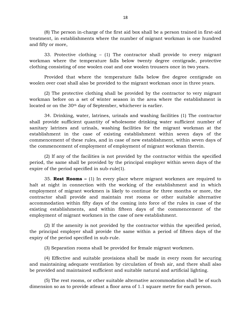(8) The person in-charge of the first aid box shall be a person trained in first-aid treatment, in establishments where the number of migrant workman is one hundred and fifty or more, (8) The person in-charge of the first aid box shall be a person trained in first-aid<br>ent, in establishments where the number of migrant workman is one hundred<br>ty or more,<br>33. Protective clothing – (1) The contractor shall

workman where the temperature falls below twenty degree centigrade, protective clothing consisting of one woolen coat and one woolen trousers once in two years. 33. Protective clothing – (1) The contractor shall provide to every migrant an where the temperature falls below twenty degree centigrade, protective g consisting of one woolen coat and one woolen trousers once in two yea

woolen over coat shall also be provided to the migrant workman once in three years.

(2) The protective clothing shall be provided by the contractor to very migrant workman before on a set of winter season in the area where the establishment is located or on the 30th day of September, whichever is earlier. (2) The protective clothing shall be provided by the contractor to very migrant workman before on a set of winter season in the area where the establishment is located or on the  $30<sup>th</sup>$  day of September, whichever is

sanitary latrines and urinals, washing facilities for the migrant workman at the establishment in the case of existing establishment within seven days of the 34. Drinking, water, latrines, urinals and washing facilities (1) The contractor shall provide sufficient quantity of wholesome drinking water sufficient number of sanitary latrines and urinals, washing facilities for the the commencement of employment of employment of migrant workman therein.

(2) If any of the facilities is not provided by the contractor within the specified period, the same shall be provided by the principal employer within seven days of the expire of the period specified in sub-rule(1). (2) If any of the facilities is not provided by the contractor within the specified<br>t, the same shall be provided by the principal employer within seven days of the<br>of the period specified in sub-rule(1).<br>35. **Rest Rooms –** 

period, the same shall be provided by the principal employer within seven days of the expire of the period specified in sub-rule(1).<br>35. **Rest Rooms** – (1) In every place where migrant workmen are required to halt at nigh employment of migrant workmen is likely to continue for three months or more, the contractor shall provide and maintain rest rooms or other suitable alternative accommodation within fifty days of the coming into force of the rules in case of the existing establishments, and within fifteen days of the commencement of the employment of migrant workmen in the case of new establishmen existing establishments, and within fifteen days of the commencement of the employment of migrant workmen in the case of new establishment.

the principal employer shall provide the same within a period of fifteen days of the expiry of the period specified in sub-rule.

(3) Separation rooms shall be provided for female migrant workmen.

(4) Effective and suitable provisions shall be made in every room for securing expiry of the period specified in sub-rule.<br>
(3) Separation rooms shall be provided for female migrant workmen.<br>
(4) Effective and suitable provisions shall be made in every room for securing<br>
and maintaining adequate vent be provided and maintained sufficient and suitable natural and artificial lighting. (4) Effective and suitable provisions shall be made in every room for securing<br>aintaining adequate ventilation by circulation of fresh air, and there shall also<br>vided and maintained sufficient and suitable natural and arti

dimension so as to provide atleast a floor area of 1.1 square metre for each person.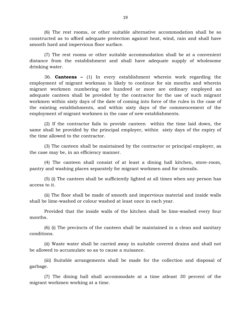(6) The rest rooms, or other suitable alternative accommodation shall be so constructed as to afford adequate protection against heat, wind, rain and shall have smooth hard and impervious floor surface.

(7) The rest rooms or other suitable accommodation shall be at a convenient distance from the establishment and shall have adequate supply of wholesome drinking water. (7) The rest rooms or other suitable accommodation shall be at a convenient<br>ce from the establishment and shall have adequate supply of wholesome<br>1g water.<br>36. **Canteens –** (1) In every establishment wherein work regarding

employment of migrant workman is likely to continue for six months and wherein<br>migrant workman is likely to continue for six months and wherein<br>migrant workman numbering one hundred or more are ordinary employed an drinking water.<br>36. **Canteens** – (1) In every establishment wherein work regarding the<br>employment of migrant workman is likely to continue for six months and wherein<br>migrant workmen numbering one hundred or more are ordina adequate canteen shall be provided by the contractor for the use of such migrant workmen within sixty days of the date of coming into force of the rules in the case of the existing establishments, and within sixty days of the commencement of the employment of migrant workmen in the case of new establishments.

(2) If the contractor fails to provide canteen within the time laid down, the same shall be provided by the principal employer, within sixty days of the expiry of the time allowed to the contractor. (2) If the contractor fails to provide canteen within the time laid down, the shall be provided by the principal employer, within sixty days of the expiry of ne allowed to the contractor.<br>
(3) The canteen shall be maintai

the case may be, in an efficiency manner. (3) The canteen shall be maintained by the contractor or principal employ<br>the case may be, in an efficiency manner.<br>(4) The canteen shall consist of at least a dining hall kitchen, store-<br>pantry and washing places separat

(4) The canteen shall consist of at least a dining hall kitchen, store-room,

(4) The canteen shall consist of at least a dining hall kitchen, store-room,<br>and washing places separately for migrant workmen and for utensils.<br>(5) (i) The canteen shall be sufficiently lighted at all times when any perso access to it.

(ii) The floor shall be made of smooth and impervious material and inside walls shall be lime-washed or colour washed at least once in each year.

Provided that the inside walls of the kitchen shall be lime-washed every four months.

conditions.

(6) (i) The precincts of the canteen shall be maintained in a clean and sanitary be allowed to accumulate so as to cause a nuisance. (ii) Waste water shall be carried away in suitable covered drains and shall not

(iii) Suitable arrangements shall be made for the collection and disposal of garbage. wed to accumulate so as to cause a nuisance.<br>(iii) Suitable arrangements shall be made for the collection and disposal of<br>e.<br>(7) The dining hall shall accommodate at a time atleast 30 percent of the<br>tt workmen working at a

migrant workmen working at a time.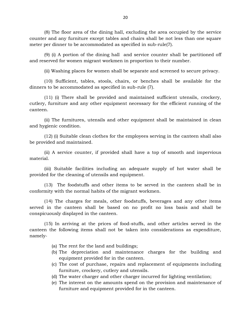(8) The floor area of the dining hall, excluding the area occupied by the service counter and any furniture except tables and chairs shall be not less than one square meter per dinner to be accommodated as specified in sub-rule(7).

(9) (i) A portion of the dining hall and service counter shall be partitioned off and reserved for women migrant workmen in proportion to their number.

(ii) Washing places for women shall be separate and screened to secure privacy.

(10) Sufficient, tables, stools, chairs, or benches shall be available for the dinners to be accommodated as specified in sub-rule (7).

(11) (i) There shall be provided and maintained sufficient utensils, crockery, cutlery, furniture and any other equipment necessary for the efficient running of the canteen.

(ii) The furnitures, utensils and other equipment shall be maintained in clean and hygienic condition.

(12) (i) Suitable clean clothes for the employees serving in the canteen shall also be provided and maintained.

(12) (i) Suitable clean clothes for the employees serving in the canteen shall also<br>vided and maintained.<br>(ii) A service counter, if provided shall have a top of smooth and impervious<br>al. material.

(iii) Suitable facilities including an adequate supply of hot water shall be provided for the cleaning of utensils and equipment. (iii) Suitable facilities including an adequate supply of provided for the cleaning of utensils and equipment.<br>
(13) The foodstuffs and other items to be served in the conformity with the normal habits of the migrant workm

(13) The foodstuffs and other items to be served in the canteen shall be in

(14) The charges for meals, other foodstuffs, beverages and any other items served in the canteen shall be based on no profit no loss basis and shall be conspicuously displayed in the canteen. (14) The charges for meals, other foodstuffs, beverages and any other items<br>in the canteen shall be based on no profit no loss basis and shall be<br>cuously displayed in the canteen.<br>(15) In arriving at the prices of food-stu

canteen the following items shall not be taken into considerations as expenditure, namely- (b) In arriving at the prices of food-stuffs, a<br>he following items shall not be taken into<br>(a) The rent for the land and buildings;<br>(b) The depreciation and maintenance (a) The rent for the land and buildings;<br>(b) The depreciation and maintenance charges for the building and equipment provided for in the canteen.

- 
- Foreign come of the land and buildings;<br>The rent for the land and buildings;<br>The depreciation and maintenance cha<br>equipment provided for in the canteen.<br>The cost of purchase, repairs and replacer
- (a) The rent for the land and buildings;<br>
(b) The depreciation and maintenance charges for the building and<br>
equipment provided for in the canteen.<br>
(c) The cost of purchase, repairs and replacement of equipments including furniture, crockery, cutlery and utensils. (b) The depreciation and maintenance charges for the building and equipment provided for in the canteen.<br>
(c) The cost of purchase, repairs and replacement of equipments including furniture, crockery, cutlery and utensils. equipment provided for in the canteen.<br>
(c) The cost of purchase, repairs and replacement of equipments including<br>
furniture, crockery, cutlery and utensils.<br>
(d) The water charger and other charger incurred for lighting v
- 
- furniture and equipment provided for in the canteen.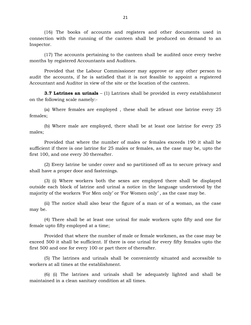(16) The books of accounts and registers and other documents used in connection with the running of the canteen shall be produced on demand to an Inspector. (16) The books of accounts and registers and other documents used in<br>tion with the running of the canteen shall be produced on demand to an<br>tor.<br>(17) The accounts pertaining to the canteen shall be audited once every twelv

months by registered Accountants and Auditors.

Provided that the Labour Commissioner may approve or any other person to (17) The accounts pertaining to the canteen shall be audited once every twelve<br>months by registered Accountants and Auditors.<br>Provided that the Labour Commissioner may approve or any other person to<br>audit the accounts, if Accountant and Auditor in view of the site or the location of the canteen. Provided that the Labour Commissioner may approve or any other person to<br>the accounts, if he is satisfied that it is not feasible to appoint a registered<br>itant and Auditor in view of the site or the location of the canteen

on the following scale namely:-

(a) Where females are employed , these shall be atleast one latrine every 25 females;

(b) Where male are employed, there shall be at least one latrine for every 25 males;

Provided that where the number of males or females exceeds 190 it shall be sufficient if there is one latrine for 25 males or females, as the case may be, upto the first 100, and one every 30 thereafter.

(2) Every latrine be under cover and so partitioned off as to secure privacy and shall have a proper door and fastenings.

(2) Every latrine be under cover and so partitioned off as to secure privacy and<br>ave a proper door and fastenings.<br>(3) (i) Where workers both the sexes are employed there shall be displayed<br>e each block of latrine and urin outside each block of latrine and urinal a notice in the language understood by the majority of the workers 'For Men only' or 'For Women only' , as the case may be.

(ii) The notice shall also bear the figure of a man or of a woman, as the case may be.

(ii) The workers 'For Men only' or 'For Women only' , as the case may be.<br>
(ii) The notice shall also bear the figure of a man or of a woman, as the case<br>
e.<br>
(4) There shall be at least one urinal for male workers upto fi female upto fifty employed at a time;

Provided that where the number of male or female workmen, as the case may be exceed 500 it shall be sufficient. If there is one urinal for every fifty females upto the first 500 and one for every 100 or part there of thereafter. Provided that where the number of male or female workmen, as the case may be 500 it shall be sufficient. If there is one urinal for every fifty females upto the 00 and one for every 100 or part there of thereafter.<br>(5) The exceed 500 it shall be sufficient. If there is or<br>first 500 and one for every 100 or part there of<br>(5) The latrines and urinals shall be<br>workers at all times at the establishment.<br>(6) (i) The latrines and urinals shall

(5) The latrines and urinals shall be conveniently situated and accessible to<br>is at all times at the establishment.<br>(6) (i) The latrines and urinals shall be adequately lighted and shall be<br>ined in a clean sanitary conditi

maintained in a clean sanitary condition at all times.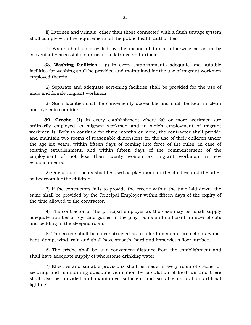(ii) Latrines and urinals, other than those connected with a flush sewage system shall comply with the requirements of the public health authorities.

(7) Water shall be provided by the means of tap or otherwise so as to be conveniently accessible in or near the latrines and urinals.

shall comply with the requirements of the public health authorities.<br>
(7) Water shall be provided by the means of tap or otherwise so as to be<br>
conveniently accessible in or near the latrines and urinals.<br>
38. **Washing fac** employed therein.

(2) Separate and adequate screening facilities shall be provided for the use of

(3) Such facilities shall be conveniently accessible and shall be kept in clean and hygienic condition. male and female migrant workmen.<br>
39. Such facilities shall be conveniently accessible and shall be kept in clean<br>
39. Creche-<sup>(1)</sup> In every establishment where 20 or more workmen are

ordinarily employed as migrant workmen and in which employment of migrant workmen is likely to continue for three months or more, the contractor shall provide and maintain two rooms of reasonable dimensions for the use of their children under the age six years, within fifteen days of coming into force of the rules, in case of ordinarily employed as migrant workmen and in which employment of migrant workmen is likely to continue for three months or more, the contractor shall provide and maintain two rooms of reasonable dimensions for the use of employment of not less than twenty women as migrant workmen in new establishments.

(2) One of such rooms shall be used as play room for the children and the other as bedroom for the children.

shments.<br>(2) One of such rooms shall be used as play room for the children and the other<br>room for the children.<br>(3) If the contractors fails to provide the crèche within the time laid down, the<br>shall be provided by the Pri same shall be provided by the Principal Employer within fifteen days of the expiry of the time allowed to the contractor.

(4) The contractor or the principal employer as the case may be, shall supply adequate number of toys and games in the play rooms and sufficient number of cots and bedding in the sleeping room.

(5) The crèche shall be so constructed as to afford adequate protection against heat, damp, wind, rain and shall have smooth, hard and impervious floor surface.

(6) The crèche shall be at a convenient distance from the establishment and shall have adequate supply of wholesome drinking water.

(6) The crèche shall be at a convenient distance from the establishment and<br>ave adequate supply of wholesome drinking water.<br>(7) Effective and suitable provisions shall be made in every room of crèche for<br>ng and maintainin (7) Effective and suitable provisions shall be made in every room of crèche for securing and maintaining adequate ventilation by circulation of fresh air and there shall also be provided and maintained sufficient and suitable natural or artificial lighting.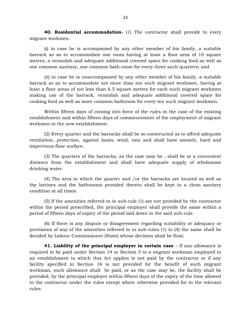**40. Residential accommodation-** (1) The contractor shall provide to every migrant workmen.

(i) in case he is accompanied by any other member of his family, a suitable barrack so as to accommodate one room having at least a floor area of 10 square metres, a verandah and adequate additional covered space for cooking food as well as one common sanitary, one common bath-room for every three such quarters; and (i) in the in the comparison by any other included to the idea of 10 square, a verandah and adequate additional covered space for cooking food as well as mmon sanitary, one common bath-room for every three such quarters; a

barrack so as to accommodate not more than ten such migrant working food as well as<br>tone common sanitary, one common bath-room for every three such quarters; and<br>(ii) in case he is unaccompanied by any other member of his least a floor areas of not less than 6.5 square metres for each such migrant workmen (ii) in case he is unaccompanied by any other member of his family, a suitable<br>barrack so as to accommodate not more than ten such migrant workmen, having at<br>least a floor areas of not less than 6.5 square metres for each cooking food as well as more common bathroom for every ten such migrant workmen.

Within fifteen days of coming into force of the rules in the case of the existing establishment and within fifteen days of commencement of the employment of migrant workmen in the new establishment.

(2) Every quarter and the barracks shall be so constructed as to afford adequate ventilation, protection, against heats, wind, rain and shall have smooth, hard and impervious floor surface.

(3) The quarters of the barracks, as the case may be , shall be at a convenient distance from the establishment and shall have adequate supply of wholesome drinking water. (3) The quarters of the barracks, as the case may be , shall be at a convenient<br>ce from the establishment and shall have adequate supply of wholesome<br>1g water.<br>(4) The area in which the quarter and /or the barracks are lo

the latrines and the bathrooms provided therein shall be kept in a clean sanitary condition at all times.

(5) If the amenities referred to in sub-rule (1) are not provided by the contractor within the period prescribed, the principal employer shall provide the same within a period of fifteen days of expiry of the period laid down in the said sub-rule.

(6) If there is any dispute or disagreement regarding suitability or adequacy or provisions of any of the amenities referred to in sub-rules (1) to (4) the same shall be decided by Labour Commissioner (State) whose decision shall be final. **41. Liability of the principal employer in certain case** − If any allowance is required to be paid under Section 14 or Section 5 to a migrant workman employed in

an establishment to which this Act applies is not paid by the contractor or if any facility specified in Section 16 is not provided for the benefit of such migrant **41. Liability of the principal employer in certain case** – If any allowance is required to be paid under Section 14 or Section 5 to a migrant workman employed in an establishment to which this Act applies is not paid by t provided, by the principal employer within fifteen days of the expiry of the time allowed an establishment to which this Act applies is not paid by the contractor or if any facility specified in Section 16 is not provided for the benefit of such migrant workman, such allowance shall be paid, or as the case may rules: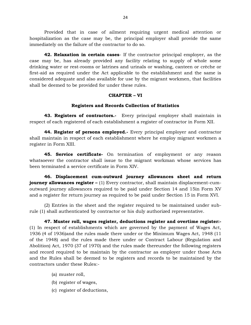Provided that in case of ailment requiring urgent medical attention or alization as the case may be, the principal employer shall provide the same iately on the failure of the contractor to do so.<br>**42. Relaxation in certai** hospitalization as the case may be, the principal employer shall provide the same immediately on the failure of the contractor to do so.

case may be, has already provided any facility relating to supply of whole some drinking water or rest-rooms or latrines and urinals or washing, canteen or crèche or 42. Relaxation in certain cases- If the contractor principal employer, as the case may be, has already provided any facility relating to supply of whole some drinking water or rest-rooms or latrines and urinals or washing, considered adequate and also available for use by the migrant workmen, that facilities case may be, has already provided any facility relatind<br>rinking water or rest-rooms or latrines and urinals or w<br>first-aid as required under the Act applicable to the est<br>considered adequate and also available for use by t applicable to the establishm<br>able for use by the migrant wo<br>under these rules.<br>**CHAPTER – VI**<br>ecords Collection of Statistic

### **Registers and Records Collection of Statistics**

**43. Registers of contractors.-** Every principal employer shall maintain in respect of each registered of each establishment a register of contractor in Form XII.

**43. Registers of contractors.** Every principal employer shall maintain in tof each registered of each establishment a register of contractor in Form XII.<br>**44. Register of persons employed.** Every principal employer and co register in Form XIII.

Shall maintain in respect of each establishment where he employ migrant workmen a register in Form XIII.<br> **45. Service certificate-** On termination of employment or any reason whatsoever the contractor shall issue to the m **45. Service certificate-** On termination of employment or any reason been terminated a service certificate in Form XIV. **45. Service certificate-** On termination of employment or any reason ovever the contractor shall issue to the migrant workman whose services has erminated a service certificate in Form XIV.<br>**46. Displacement cum-outward j** 

whatsoever the contractor shall issue to the migrant workman whose services has<br>been terminated a service certificate in Form XIV.<br>**46. Displacement cum-outward journey allowances sheet and return**<br>**journey allowances regi** outward in the contractor of the magnetic monotherminated a service certificate in Form XIV.<br> **46. Displacement cum-outward journey allowances sheet and return**<br> **journey allowances register** – (1) Every contractor, shall and a register for return journey as required to be paid under Section 15 in Form XVI.

(2) Entries in the sheet and the register required to be maintained under suboutward journey allowances required to be paid under Section 14 and 15in Form XV<br>and a register for return journey as required to be paid under Section 15 in Form XVI.<br>(2) Entries in the sheet and the register required to

**47. Muster roll, wages register, deductions register and overtime register:-** (1) In respect of establishments which are governed by the payment of Wages Act, 1936 (4 of 1936)and the rules made there under or the Minimum Wages Act, 1948 (11<br>1936 (4 of 1936)and the rules made there under or the Minimum Wages Act, 1948 (11<br>1948) and the rules made there under or the Minimum Wages of the 1948) and the rules made there under or Contract Labour (Regulation and Abolition) Act, 1970 (37 of 1970) and the rules made thereunder the following registers and record required to be maintain by the contractor as employer under those Acts and the Rules shall be deemed to be registers and records to be maintained by the (b) register of wages, contractors under these Rules:-

- 
- (a) muster roll,<br>(b) register of wages,
- (c) register of deductions,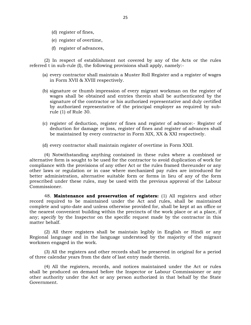- 
- (d) register of fines,<br>(e) register of overtime,
- (d) register of fines,<br>(e) register of overtime,<br>(f) register of advances, (d) register of fines,<br>
(e) register of overtime,<br>
(f) register of advances,

(2) In respect of establishment not covered by any of the Acts or the rules referred t in sub-rule (I), the following provisions shall apply, namely:-

- (2) In respect of establishment not covered by any of the Acts or the rules<br>ed t in sub-rule (I), the following provisions shall apply, namely:-<br>(a) every contractor shall maintain a Muster Roll Register and a register of in Form XVII & XVIII respectively.
- ed t in sub-rule (I), the following provisions shall apply, namely:-<br>
(a) every contractor shall maintain a Muster Roll Register and a register of wages<br>
in Form XVII & XVIII respectively.<br>
(b) signature or thumb impressio signature of the contractor or his authorized representative and duly certified  $\mu$  in Form XVII & XVIII respectively.<br>
signature or thumb impression of every migrant workman on the register of<br>
wages shall be obtained and entries therein shall be authenticated by the<br>
signature of the contractor or rule (1) of Rule 30. wages shall be obtained and entires therein shall be additenticated by the<br>signature of the contractor or his authorized representative and duly certified<br>by authorized representative of the principal employer as required
- be maintained by every contractor in Form XIX, XX & XXI respectively. (c) register of deduction, register of fines and register of advance:- Reg deduction for damage or loss, register of fines and register of advance be maintained by every contractor in Form XIX, XX & XXI respectively (d) ev

(4) deduction for damage or loss, register of times and register of advances shall<br>the maintained by every contractor in Form XIX, XX & XXI respectively.<br>d) every contractor shall maintain register of overtime in Form XXII be maintained by every contractor in Form XIX, XX & XXI respectively.<br>
(d) every contractor shall maintain register of overtime in Form XXII.<br>
(4) Notwithstanding anything contained in these rules where a combined or<br>
alte (d) every contractor shall maintain register of overtime in Form XXII.<br>
(4) Notwithstanding anything contained in these rules where a combined or<br>
alternative form is sought to be used for the contractor to avoid duplicati other laws or regulation or in case where mechanized pay rules are introduced for better administration, alternative suitable form or forms in lieu of any of the form prescribed under these rules, may be used with the previous approval of the Labour Commissioner.

48. **Maintenance and preservation of registers:** (1) All registers and other better administration, alternative suitable form or forms in lieu of any of the form<br>prescribed under these rules, may be used with the previous approval of the Labour<br>Commissioner.<br>48. **Maintenance and preservation of reg** prescribed under these rules, may be used with the previous approval of the Labour<br>Commissioner.<br>48. **Maintenance and preservation of registers:** (1) All registers and other<br>record required to be maintained under the Act a Commissioner.<br>
48. **Maintenance and preservation of registers:** (1) All registers and other<br>
record required to be maintained under the Act and rules, shall be maintained<br>
complete and upto-date and unless otherwise provid any; specify by the Inspector on the specific request made by the contractor in this matter behalf. % complete and upto-date and unless otherwise provided for, shall be kept at an office or<br>the nearest convenient building within the precincts of the work place or at a place, if<br>any; specify by the Inspector on the specif

workmen engaged in the work. (2) All there registers shall be maintain legibly in English or Hindi or any<br>al language and in the language understood by the majority of the migrant<br>en engaged in the work.<br>(3) All the registers and other records shall b

of three calendar years from the date of last entry made therein.

(4) All the registers, records, and notices maintained under the Act or rules (3) All the registers and other records shall be preserved in original for a period<br>of three calendar years from the date of last entry made therein.<br>(4) All the registers, records, and notices maintained under the Act or Government.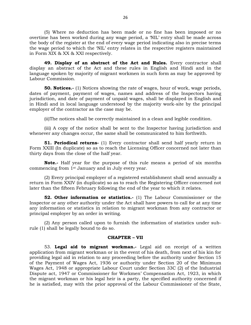(5) Where no deduction has been made or no fine has been imposed or no 26<br>
(5) Where no deduction has been made or no fine has been imposed or no<br>
overtime has been worked during any wage period, a 'NIL' entry shall be made across<br>
the body of the register at the end of every wage period indi the wage period to which the 'NIL' entry relates in the respective registers maintained (5) Where no deduction has been<br>overtime has been worked during any wag<br>the body of the register at the end of every<br>the wage period to which the NIL' entry r<br>in Form XIX & XX & XXI respectively.<br>**49. Display of an abstra** 

**49. Display of an abstract of the Act and Rules.** Every contractor shall the body of the register at the end of every wage period indicating also in precise terms<br>the wage period to which the NIL' entry relates in the respective registers maintained<br>in Form XIX & XX & XXI respectively.<br>**49. Dis** in Form XIX & XX & XXI respectively.<br> **49. Display of an abstract of the Act and Rules.** Every contractor shall display an abstract of the Act and these rules in English and Hindi and in the language spoken by majority of Labour Commission.

**50. Notices.-** (1) Notices showing the rate of wages, hour of work, wage periods, dates of payment, payment of wages, names and address of the Inspectors having display an abstract of the Act and these rules in English and Hindi and in the<br>language spoken by majority of migrant workmen in such form as may be approved by<br>Labour Commission.<br>**50. Notices.**- (1) Notices showing the ra in Hindi and in local language understood by the majority work-site by the principal employer of the contractor as the case may be.

(ii)The notices shall be correctly maintained in a clean and legible condition.

(iii) A copy of the notice shall be sent to the Inspector having jurisdiction and whenever any changes occur, the same shall be communicated to him forthwith.

**51. Periodical returns-** (1) Every contractor shall send half yearly return in Form XXIII (In duplicate) so as to reach the Licensing Officer concerned not later than thirty days from the close of the half year.

**Note.-** Half year for the purpose of this rule means a period of six months commencing from 1st January and in July every year.

(2) Every principal employer of a registered establishment shall send annually a return in Form XXIV (in duplicate) so as to reach the Registering Officer concerned not later than the fifteen February following the end of the year to which it relates.

**52. Other information or statistics.-** (1) The Labour Commissioner or the Inspector or any other authority under the Act shall have powers to call for at any time any information or statistics in relation to migrant workman from any contractor or principal employer by an order in writing. Inspector or any other authority under the  $\mu$  any information or statistics in relation to principal employer by an order in writing.<br>(2) Any person called upon to furnis rule (1) shall be legally bound to do so.<br>**CHAPT** 

(2) Any person called upon to furnish the information of statistics under subriting.<br>to furnish the information of<br>so.<br>**CHAPTER – VII**<br>: **workman.-** Legal aid on

53. **Legal aid to migrant workman.-** Legal aid on receipt of a written application from migrant workman or in the event of his death, from next of his kin for providing legal aid in relation to any proceeding before the authority under Section 15 **CHAPTER – VII**<br>
53. **Legal aid to migrant workman.** Legal aid on receipt of a written<br>
application from migrant workman or in the event of his death, from next of his kin for<br>
providing legal aid in relation to any proce Wages Act, 1948 or appropriate Labour Court under Section 33C (2) of the Industrial Dispute act, 1947 or Commissioner for Workmen' Compensation Act, 1923, in which the migrant workman or his legal heir is a party, the specified authority concerned if he is satisfied, may with the prior approval of the Labour Commissioner of the State,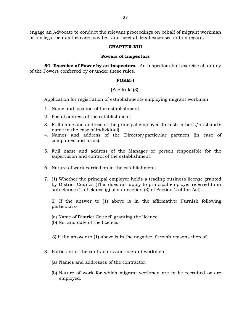engage an Advocate to conduct the relevant proceedings on behalf of migrant workman or his legal heir as the case may be , and meet all legal expenses in this regard.

### **CHAPTER-VIII**

### **Powers of Inspectors**

**54. Exercise of Power by an Inspectors.-** An Inspector shall exercise all or any of the Powers conferred by or under these rules.

### **FORM-I**

### [See Rule (3)]

FORM-I<br>
FORM-I<br>
[See Rule (3)]<br>
Application for registration of establishments employing migrant workman.<br>
1. Name and location of the establishment. 1. 1921...<br>
1. See Rule (3)]<br>
1. Name and location of the establishments em<br>
2. Postal address of the establishment.

- 
- 
- See Rule [3]]<br>2. Postal address of the establishments<br>2. Postal address of the establishment.<br>3. Full name and address of the principal era 1. Name and location of the establishment.<br>2. Postal address of the establishment.<br>3. Full name and address of the principal employer (furnish father's/husband's name in the case of individual)
- 4. Name and location of the establishment.<br>
4. Postal address of the establishment.<br>
3. Full name and address of the principal employer (furnish father's/husband's<br>
name in the case of individual)<br>
4. Names and address of companies and firms). 5. Full name and address of the principal employer (furnish lather's/husband's<br>name in the case of individual)<br>4. Names and address of the Director/particular partners (in case of<br>companies and firms).<br>5. Full name and add
- supervision and control of the establishment. 5. Full name and address of the Manager or person responsible for the supervision and control of the establishment.<br>6. Nature of work carried on in the establishment.<br>7. (1) Whether the principal employer holds a trading b
- 
- 3. The main diameters of the manager of portoon responsive for the supervision and control of the establishment.<br>
3. (1) Whether the principal employer holds a trading business license granted by District Council (This do sub-clause (1) of clause (g) of sub-section (3) of Section 2 of the Act).

2) If the answer to (1) above is in the affirmative: Furnish following particulars-

- (a) Name of District Council granting the licence.
- (b) No. and date of the licence.
- (a) Name of District Council granting the licence.<br>(b) No. and date of the licence.<br>3) If the answer to (1) above is in the negative, furnish reasons thereof. 3) If the answer to (1) above is in the negative, furnish re<br>8. Particular of the contractors and migrant workmen.<br>(a) Names and addresses of the contractor
- 8. Particular of the contractors and migrant workmen.<br>(a) Names and addresses of the contractor.
	-
	- (b) Nature of work for which migrant workmen are to be recruited or are employed.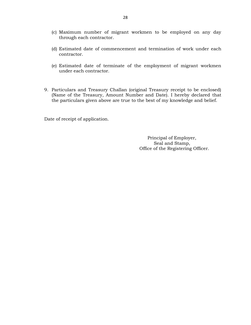- (c) Maximum number of migrant workmen to be employed on any day through each contractor.
- (c) Maximum number of migrant workmen to be employed on any day through each contractor.<br>(d) Estimated date of commencement and termination of work under each contractor. contractor. (d) Estimated date of commencement and termination of work under each contractor.<br>
(e) Estimated date of terminate of the employment of migrant workmen under each contractor.
- under each contractor. 9. Particulars and Treasury Challan (original Treasury receipt to be enclosed)<br>(Name of the Treasury, Amount Number and Date). I hereby declared that
- Under each contractor.<br>
Particulars and Treasury Challan (original Treasury receipt to be enclosed)<br>
(Name of the Treasury, Amount Number and Date). I hereby declared that<br>
the particulars given above are true to the best

Date of receipt of application.

Principal of Employer, Seal and Stamp, Office of the Registering Officer.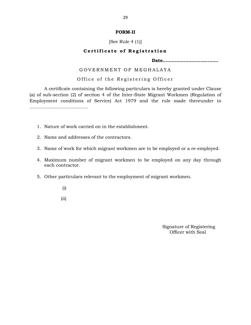### **FORM-II**

## [See Rule  $4(1)$ ]

# **FORM-II**<br>
[See Rule 4 (1)]<br> **Certificate of Registration**<br> **Date.......................**

**Date……………………………….**

# G O V E R N M E N T O F M E G H A L A Y A

O f f i c e o f t h e R e g i s t e r i n g O f f i c e r A certificate containing the following particulars is hereby granted under Clause (a) of sub-section (2) of section 4 of the Inter-State Migrant Workmen (Regulation of Employment conditions of Service) Act 1979 and the rule made thereunder to ……………………………………… 1. Nature of work carried on in the establishment.

- 2. Nature of work carried on in the establishmenders and addresses of the contractors.
- 
- 2. Name and addresses of the contractors.<br>3. Name of work for which migrant workmen are to be employed or a re-employed.
- 1. Name and addresses of the contractors.<br>
1. Name of work for which migrant workmen are to be employed or a re-employed.<br>
4. Maximum number of migrant workmen to be employed on any day through<br>
each contractor. each contractor. 5. Name of work for which ingeture working are to be employed of a re-employed and the employed of a re-employed on any day each contractor.<br>5. Other particulars relevant to the employment of migrant workmen.
- - (i)
	- (ii)

Signature of Registering Officer with Seal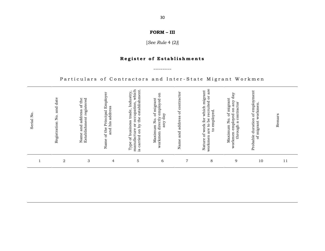# **R e g i s t e r o f E s t a b l i s h m e n t s**

## Particulars of Contractors and Inter-State Migrant Workmen

| Serial No | Registration No. and date | Establishment registered<br>of the<br>address<br>and<br>Name | Name of the Principal Employer<br>and his address | Type of business trade, Industry,<br>manufacture or occupation, which<br>is carried on by the establishment.<br>manufacture | $\mathbf{g}$<br>Maximum No. of migrant<br>workmen directly employed<br>day<br>any | Name and address of contractor | to be recruited or are<br>Nature of work for which migrant<br>to employed.<br>workmen are | day<br>Maximum No. of migrant<br>$\ensuremath{\mathsf{array}}$<br>a contractor<br>$_{50}$<br>workmen employed<br>through | Probable duration of employment<br>of migrant workmen. | Remars |
|-----------|---------------------------|--------------------------------------------------------------|---------------------------------------------------|-----------------------------------------------------------------------------------------------------------------------------|-----------------------------------------------------------------------------------|--------------------------------|-------------------------------------------------------------------------------------------|--------------------------------------------------------------------------------------------------------------------------|--------------------------------------------------------|--------|
|           | $\mathbf 2$               | 3                                                            | $\overline{4}$                                    | 5                                                                                                                           | 6                                                                                 | $\overline{7}$                 | 8                                                                                         | 9                                                                                                                        | 10                                                     | 11     |
|           |                           |                                                              |                                                   |                                                                                                                             |                                                                                   |                                |                                                                                           |                                                                                                                          |                                                        |        |

**FORM – III**<br>**FORM – III**<br>*See Rule 4 (9)* 

[*See Rule* 4 (2*)*]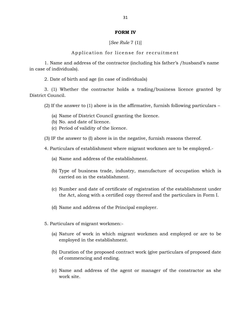### **FORM IV**

[*See Rule* 7 (1)]

Application for license for recruitment

[See Rule 7 (1)]<br>Application for license for recruitment<br>1. Name and address of the contractor (including his father's /husband's name<br>1. of individuals). in case of individuals). Application for license for recr<br>
1. Name and address of the contractor (including h:<br>
2. Date of birth and age (in case of individuals)<br>
2. (1) Whether the contractor holds a trading/

3. (1) Whether the contractor holds a trading/business licence granted by District Council. (2) 2012)<br>
2. Date of birth and age (in case of individuals)<br>
2. (1) Whether the contractor holds a trading/business licence granted by<br>
12) If the answer to (1) above is in the affirmative, furnish following particulars – (1) Whether the contractor holds a trading/busine<br>buncil.<br>If the answer to (1) above is in the affirmative, furnish<br>(a) Name of District Council granting the licence.<br>(b) No. and date of licence.

Suncil.<br>If the answer to (1) above is in t<br>(a) Name of District Council gra<br>(b) No. and date of licence.<br>(c) Period of validity of the licen (a) Name of District Council granting the Manner of District Council granting the No. and date of licence.<br>(c) Period of validity of the licence.<br>(Figure the answer to (I) above is in the negotial

- 
- 
- 
- (3) IF the answer to (I) above is in the negative, furnish reasons thereof. IF the answer to (I) above is in the negative, furnity<br>Particulars of establishment where migrant works<br>(a) Name and address of the establishment.

(b) No. and date of licence.<br>
(c) Period of validity of the licence.<br>
(3) IF the answer to (I) above is in the negative, furnish reasons thereof.<br>
4. Particulars of establishment where migrant workmen are to be employed.<br>

- 
- (b) Type of business trade, industry, manufacture of occupation which is carried on in the establishment. (b) Type of business trade, industry, manufacture of occupation which is carried on in the establishment.<br>(c) Number and date of certificate of registration of the establishment under the Act, along with a certified copy t
- (c) Number and date of certificate of registration of t<br>the Act, along with a certified copy thereof and the<br>(d) Name and address of the Principal employer.
- (d) Name and address of the Principal employer.<br>5. Particulars of migrant workmen:-
- 
- (a) Name and address of the Principal employer.<br>Particulars of migrant workmen:-<br>(a) Nature of work in which migrant workmen and employed or are to be<br>employed in the establishment. employed in the establishment.
	- (a) Nature of work in which migrant workmen and employed or are to be employed in the establishment.<br>
	(b) Duration of the proposed contract work (give particulars of proposed date of commencing and ending. of commencing and ending. (b) Duration of the proposed contract work (give particulars of proposed date<br>of commencing and ending.<br>(c) Name and address of the agent or manager of the constractor as she
	- work site.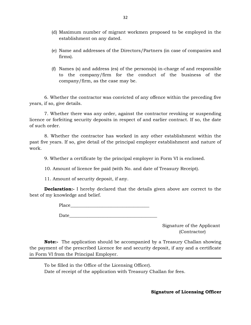- (d) Maximum number of migrant workmen proposed to be employed in the establishment on any dated.
- (d) Maximum number of migrant workmen proposed to be employed in the establishment on any dated.<br>(e) Name and addresses of the Directors/Partners (in case of companies and firms). firms).
- (e) Name and addresses of the Directors/Partners (in case of companies and firms).<br>(f) Names (s) and address (es) of the persons(s) in-charge of and responsible<br>to the company/firm for the conduct of the business of the Name and addresses of the Directors/Partners (in case of companies and<br>firms).<br>Names (s) and address (es) of the persons(s) in-charge of and responsible<br>to the company/firm for the conduct of the business of the<br>company/fi company/firm, as the case may be.

6. Whether the contractor was convicted of any offence within the preceding five years, if so, give details.

7. Whether there was any order, against the contractor revoking or suspending licence or forfeiting security deposits in respect of and earlier contract. If so, the date of such order.

8. Whether the contractor has worked in any other establishment within the past five years. If so, give detail of the principal employer establishment and nature of work.

9. Whether a certificate by the principal employer in Form VI is enclosed.

10. Amount of licence fee paid (with No. and date of Treasury Receipt).

11. Amount of security deposit, if any.

**Declaration:**- I hereby declared that the details given above are correct to the best of my knowledge and belief.

Place\_\_\_\_\_\_\_\_\_\_\_\_\_\_\_\_\_\_\_\_\_\_\_\_\_\_\_\_\_\_\_\_\_\_\_

 $Date$  and  $Date$  and  $Date$  and  $Date$  and  $Date$  and  $Date$  and  $Date$  and  $Date$  and  $Date$  and  $Date$  and  $Date$  and  $Date$  and  $Date$  and  $Date$  and  $Date$  and  $Date$  and  $Date$  and  $Date$  and  $Date$  and  $Date$  and  $Date$  and  $Date$  and  $Date$  and  $Date$  and  $Date$  and  $Date$  and  $Date$  and  $Date$  a

Signature of the Applicant (Contractor)

**Note:-** The application should be accompanied by a Treasury Challan showing the payment of the prescribed Licence fee and security deposit, if any and a certificate in Form VI from the Principal Employer.

To be filled in the Office of the Licensing Officer). Date of receipt of the application with Treasury Challan for fees.

**Signature of Licensing Officer**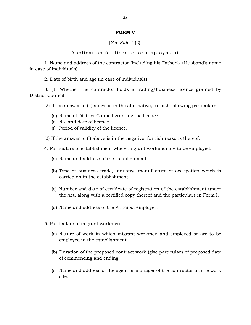### **FORM V**

[*See Rule* 7 (2)]

Application for license for employment

1. Name and address of the contractor (including his Father's /Husband's name Applic:<br>
1. Name and address<br>
in case of individuals).<br>
2. Date of birth and

2. Date of birth and age (in case of individuals)

3. (1) Whether the contractor holds a trading/business licence granted by District Council. 2. Date of birth and age (in case of individuals)<br>
3. (1) Whether the contractor holds a trading/business licence granted by<br>
t Council.<br>
(2) If the answer to (1) above is in the affirmative, furnish following particulars (1) Whether the contractor holds a trading/busine<br>buncil.<br>If the answer to (1) above is in the affirmative, furnish<br>(d) Name of District Council granting the licence.<br>(e) No. and date of licence.

Suncil.<br>If the answer to (1) above is in t<br>(d) Name of District Council gra<br>(e) No. and date of licence.<br>(f) Period of validity of the licen (f) the answer to (1) above is in the affirm<br>(d) Name of District Council granting the (e) No. and date of licence.<br>(f) Period of validity of the licence.

- 
- 
- 
- (3) If the answer to (I) above is in the negative, furnish reasons thereof. If the answer to (I) above is in the negative, furnist<br>Particulars of establishment where migrant works<br>(a) Name and address of the establishment.

4. Particulars of establishment where migrant workmen are to be employed.-

- 
- (b) Type of business trade, industry, manufacture of occupation which is carried on in the establishment. (b) Type of business trade, industry, manufacture of occupation which is carried on in the establishment.<br>(c) Number and date of certificate of registration of the establishment under the Act, along with a certified copy t Type of business trade, industry, manufacture of occupation which is carried on in the establishment.<br>Number and date of certificate of registration of the establishment under<br>the Act, along with a certified copy thereof a
- (c) Number and date of certificate of registration of t<br>the Act, along with a certified copy thereof and the<br>(d) Name and address of the Principal employer.
- (d) Name and address of the Principal employer.<br>5. Particulars of migrant workmen:-
- 
- (a) Name and address of the Principal employer.<br>Particulars of migrant workmen:-<br>(a) Nature of work in which migrant workmen and employed or are to be<br>employed in the establishment. employed in the establishment.
	- (a) Nature of work in which migrant workmen and employed or are to be employed in the establishment.<br>
	(b) Duration of the proposed contract work (give particulars of proposed date of commencing and ending. of commencing and ending. (b) Duration of the proposed contract work (give particulars of proposed date<br>of commencing and ending.<br>(c) Name and address of the agent or manager of the contractor as she work
	- site.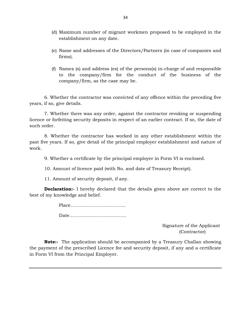- (d) Maximum number of migrant workmen proposed to be employed in the establishment on any date.
- (e) Name and addresses of the Directors/Partners (in case of companies and firms).
- (f) Names (s) and address (es) of the persons(s) in-charge of and responsible to the company/firm for the conduct of the business of the company/firm, as the case may be.

6. Whether the contractor was convicted of any offence within the preceding five years, if so, give details.

7. Whether there was any order, against the contractor revoking or suspending licence or forfeiting security deposits in respect of an earlier contract. If so, the date of years, if so, give details<br>7. Whether then<br>licence or forfeiting sea<br>such order.

8. Whether the contractor has worked in any other establishment within the past five years. If so, give detail of the principal employer establishment and nature of work. Eventually of the principal employer establishment and response to the principal employer in Form VI is enclosed.<br>10. Amount of licence paid (with No. and date of Treasury Receipt).<br>11. Amount of security deposit, if any

9. Whether a certificate by the principal employer in Form VI is enclosed.

11. Amount of security deposit, if any.

**Declaration:-** I hereby declared that the details given above are correct to the **Declaration:-** I hereby declared that the details given above are correct to the best of my knowledge and belief.

> Place…………………………….... Date………………………………..

> > Signature of the Applicant (Contractor)

**Note:-** The application should be accompanied by a Treasury Challan showing the payment of the prescribed Licence fee and security deposit, if any and a certificate in Form VI from the Principal Employer.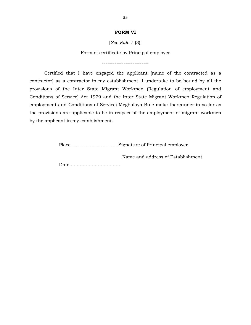### **FORM VI**

[*See Rule* 7 (3)]

Form of certificate by Principal employer

--------------------------

Certified that I have engaged the applicant (name of the contracted as a contractor) as a contractor in my establishment. I undertake to be bound by all the provisions of the Inter State Migrant Workmen (Regulation of employment and Certified that I have engaged the applicant (name of the contracted as a contractor) as a contractor in my establishment. I undertake to be bound by all the provisions of the Inter State Migrant Workmen (Regulation of empl contractor) as a contractor in my establishment. I undertake to be bound by all the provisions of the Inter State Migrant Workmen (Regulation of employment and Conditions of Service) Act 1979 and the Inter State Migrant Wo the provisions are applicable to be in respect of the employment of migrant workmen by the applicant in my establishment.

Place…………………………..Signature of Principal employer

Name and address of Establishment

Date…………………………….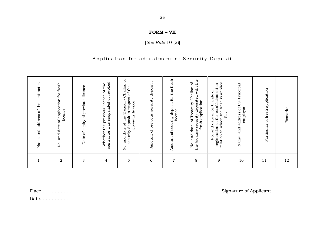# **36**<br>**FORM – VII**<br>*ee Rule* 10 (2)

[*See Rule* 10 (2*)*]

## ${\bf FORM-VII} \tag{See Rule 10 (2)}$   $[See \: Rule 10 (2)]$  Application for adjustment of Security Deposit

|                                                                                                                                                                                            | Particular of fresh application<br>employer<br>Remarks<br>12<br>11 |
|--------------------------------------------------------------------------------------------------------------------------------------------------------------------------------------------|--------------------------------------------------------------------|
|                                                                                                                                                                                            |                                                                    |
| the fresh is applied<br>묘.<br>of the Principal<br>No. and date of certificate of<br>registration of the establishment<br>address<br>for.<br>to which<br>and<br>relation<br>Name<br>9<br>10 |                                                                    |
| the<br>$\sigma$<br>Challan<br>security deposited with<br>fresh application<br>of Treasury<br>date<br>balance<br>and<br>$\overline{S}$<br>the<br>8                                          |                                                                    |
| fresh<br>the<br>Amount of security deposit for<br>licence<br>$\overline{7}$                                                                                                                |                                                                    |
| security deposit<br>Amount of previous<br>6                                                                                                                                                |                                                                    |
| ď<br>date of the Treasury Challan<br>in respect of the<br>previous licence.<br>security deposit<br>and<br>No.<br>5                                                                         |                                                                    |
| suspended or revoked.<br>of the<br>licence<br>previous<br>contractor was<br>Whether the<br>$\overline{4}$                                                                                  |                                                                    |
| of expiry of previous licence<br>Date<br>3                                                                                                                                                 |                                                                    |
| of application for fresh<br>licence<br>and date<br>Σó.<br>$\overline{2}$                                                                                                                   |                                                                    |

Place……………….. Signature of Applicant

Date…………………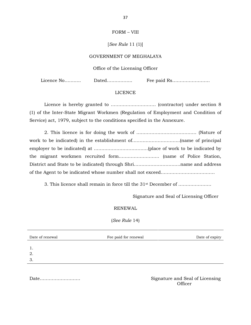# 37<br>FORM – VIII

### [*See Rule* 11 (1)]

### GOVERNMENT OF MEGHALAYA

### Office of the Licensing Officer

Licence No……….. Dated…………….. Fee paid Rs…………………….

### LICENCE

Licence is hereby granted to ………………………… (contractor) under section 8 (1) of the Inter-State Migrant Workmen (Regulation of Employment and Condition of Service) act, 1979, subject to the conditions specified in the Annexure.

| bet need act, 1979, babfeet to the contamination operation in the runneliance |
|-------------------------------------------------------------------------------|
|                                                                               |
|                                                                               |
|                                                                               |
|                                                                               |
|                                                                               |
|                                                                               |
|                                                                               |

3. This licence shall remain in force till the 31st December of ………………….

Signature and Seal of Licensing Officer

### RENEWAL

(*See Rule* 14)

| Date of renewal | Fee paid for renewal | Date of expiry |
|-----------------|----------------------|----------------|
|                 |                      |                |
| 2.              |                      |                |
| 3.              |                      |                |

Date……………………… Signature and Seal of Licensing **Officer**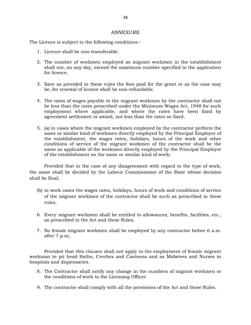### ANNEXURE

The Licence is subject to the following conditions:- ANNEX<br>
2. Licence is subject to the following conditi<br>
2. The number of workman employed as

- 
- Frace is subject to the following conditions:-<br>
2. The number of workmen employed as migrant workmen in the establishment<br>
shall not, on any day, exceed the maximum number specified in the application<br>
for ligation for licence. 3. The number of workmen employed as migrant workmen in the establishment shall not, on any day, exceed the maximum number specified in the application for licence.<br>3. Save as provided in these rules the fees paid for the
- be, for renewal of licence shall be non-refundable.
- 3. Save as provided in these rules the fees paid for the grant or as the case may<br>be, for renewal of licence shall be non-refundable.<br>4. The rates of wages payable to the migrant workmen by the contractor shall not<br>be less employment where applicable, and where the rates have been fixed by agreement settlement or award, not less than the rates so fixed.
- same or similar kind of workmen directly employed by the Principal Employer of the establishment, the wages rates, holidays, hours of the work and other (a) in cases where the migrant workmen employed by the contractor perform the same or similar kind of workmen directly employed by the Principal Employer of the establishment, the wages rates, holidays, hours of the work a same as applicable of the workmen directly employed by the Principal Employer of the establishment on the same or similar kind of work; conditions of service of the migrant workmen of the contractor shall be the same as applicable of the workmen directly employed by the Principal Employer of the establishment on the same or similar kind of work;<br>Provided t

Provided that in the case of any disagreement with regard to the type of work, shall be final; Provided that in the case of any disagreement with regard to the type of work,<br>same shall be decided by the Labour Commissioner of the State whose decision<br>all be final;<br>(b) in work cases the wages rates, holidays, hours o

- rules. (b) in work cases the wages rates, holidays, hours of work and conditions of service<br>of the migrant workmen of the contractor shall be such as prescribed in these<br>rules.<br> $\,$ 6. Every migrant workmen shall be entitled to a
- as prescribed in the Act and these Rules. 5. Every migrant workmen shall be entitled to allowances, benefits, facilities, etc., as prescribed in the Act and these Rules.<br>7. No female migrant workmen shall be employed by any contractor before 6 a.m.
- after 7 p.m;

Provided that this clauses shall not apply to the employment of female migrant workman in pit head Baths, Creches and Canteens and as Midwives and Nurses in hospitals and dispensaries.

- 8. The Contractor shall notify any change in the numbers of migrant workmen or the conditions of work to the Licensing Officer.
- 9. The contractor shall comply with all the provisions of the Act and these Rules.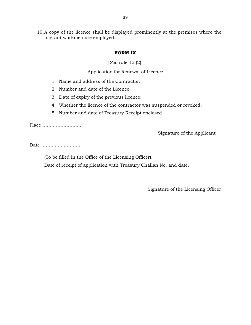10.A copy of the licence shall be displayed prominently at the premises where the migrant workmen are employed.

## **FORM IX**

[*See* rule 15 (2)]

Application for Renewal of Licence

- 1. Name and address of the Contractor:<br>2. Number and date of the Licence;
- 
- 3. Date of expiry of the previous licence;
- 3. Application for Renewal of Licence:<br>3. Number and date of the Contractor:<br>3. Date of expiry of the previous licence;<br>4. Whether the licence of the contractor was 1. Name and address of the Contractor:<br>
2. Number and date of the Licence;<br>
3. Date of expiry of the previous licence;<br>
4. Whether the licence of the contractor was suspended or revoked;<br>
5. Number and date of Treasury Rec 5. Number and date of the Licence;<br>5. Date of expiry of the previous licence;<br>4. Whether the licence of the contractor was suspended or<br>5. Number and date of Treasury Receipt enclosed
- 

Place ……………………..

Signature of the Applicant

Date ……………………..

(To be filled in the Office of the Licensing Officer).

Date of receipt of application with Treasury Challan No. and date.

Signature of the Licensing Officer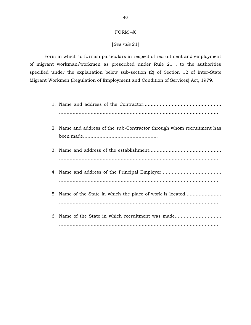# FORM –X

## [*See rule* 21]

Form in which to furnish particulars in respect of recruitment and employment of migrant workman/workmen as prescribed under Rule 21 , to the authorities specified under the explanation below sub-section (2) of Section 12 of Inter-State Migrant Workmen (Regulation of Employment and Condition of Services) Act, 1979.

- <table>\n<tbody>\n<tr>\n<td>7. 7</td>\n<td>7. 7</td>\n</tr>\n<tr>\n<td>8. 7</td>\n<td>8.7</td>\n</tr>\n<tr>\n<td>9. 7</td>\n<td>1. Name and address of the Contractor</td>\n</tr>\n<tr>\n<td>1. Name and address of the Contractor</td>\n</tr>\n<tr>\n<td>2. Name and address of the sub-Contractor through whom recruitment has been made</td>\n</tr>\n</tbody>\n</table>
- been made…………………………………………..
- 3. Name and address of the establishment………………………………………… <table>\n<tbody>\n<tr>\n<td>3. Name and address of the establishment</td>\n</tr>\n<tr>\n<td>4. Name and address of the Principal Employee</td>\n</tr>\n<tr>\n<td>5. Name of the State in which the place of work is located</td>\n</tr>\n<tr>\n<td>6. Name of the State in which the place of work is located</td>\n</tr>\n</tbody>\n</table>
- 
- ……………………………………………………………………………………………. 6. Name of the State in which recruitment was made…………………………. …………………………………………………………………………………………….
-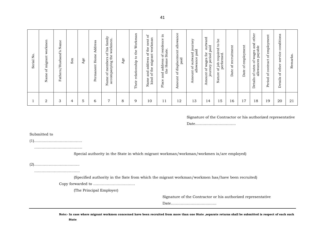| $\overline{a}$<br>Serial | workmen<br>migrant<br>$\rm ^{6}$<br>Name | Name<br>Fathers/Husband's | Sex | Age | Address<br>$Home$<br>Permanent | family<br>workmen.<br>of his<br>lame of members o<br>accompanying the<br>Name | Age | Workman<br>$_{\rm the}$<br>$\mathtt{c}$<br>relationship<br>Their | ð<br>workman<br>next<br>the<br>$_{\rm 50}$<br>migrant<br>address<br>the<br>and<br>$\sigma$<br>kind<br>Name | Ξ.<br>of residence i<br>State.<br>Home<br>address<br>the<br>and<br>Place | of displacement allowance<br>paid<br>Amount | nt of outward journey<br>allowance paid<br>Amount | Amount of wages for outward<br>journey period paid | $b$ e<br>$\mathtt{S}$<br>of job required<br>performed.<br>ture<br>$\overline{\mathbf{a}}$ | of recruitment<br>Date | employment<br>$_{\rm 50}$<br>Date | other<br>of rates of wages and<br>allowances payable<br>Details | of employment<br>of contract<br>Period | conditions<br>service<br>other<br>ЪÇ<br>Details | Remarks. |
|--------------------------|------------------------------------------|---------------------------|-----|-----|--------------------------------|-------------------------------------------------------------------------------|-----|------------------------------------------------------------------|------------------------------------------------------------------------------------------------------------|--------------------------------------------------------------------------|---------------------------------------------|---------------------------------------------------|----------------------------------------------------|-------------------------------------------------------------------------------------------|------------------------|-----------------------------------|-----------------------------------------------------------------|----------------------------------------|-------------------------------------------------|----------|
|                          | 2                                        | 3                         | 4   | 5   | 6                              | $\overline{ }$                                                                | 8   | 9                                                                | 10                                                                                                         | 11                                                                       | 12                                          | 13                                                | 14                                                 | 15                                                                                        | 16                     | 17                                | 18                                                              | 19                                     | 20                                              | 21       |

### Signature of the Contractor or his authorized representative

Date……………………………

Submitted to

(1)…………………………………

…………………………………………

Special authority in the State in which migrant workman/workman/workmen is/are employed)

(2)………………………………. ……………………………….

(Specified authority in the Sate from which the migrant workman/workmen has/have been recruited)

Copy forwarded to …………………………….

(The Principal Employer)

Signature of the Contractor or his authorized representative

Date……………………………….

**Note:- In case where migrant workmen concerned have been recruited from more than one State ,separate returns shall be submitted is respect of each such State**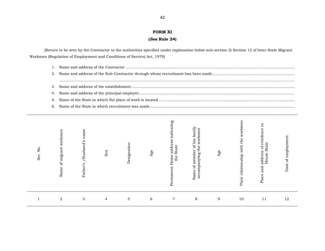### **FORM XI**

## **(***See* **Rule 24)**

[Return to be sent by the Contractor to the authorities specified under explanation below sub-section 2) Section 12 of Inter-State Migrant Workmen (Regulation of Employment and Conditions of Service) Act, 1979]

| turn to be sent by the Contractor to the authorities specified under explanation below sub-section 2) Section 12 of Inter-State Migrant<br>Regulation of Employment and Conditions of Service) Act, 1979] |  |
|-----------------------------------------------------------------------------------------------------------------------------------------------------------------------------------------------------------|--|
|                                                                                                                                                                                                           |  |
|                                                                                                                                                                                                           |  |
|                                                                                                                                                                                                           |  |
|                                                                                                                                                                                                           |  |
|                                                                                                                                                                                                           |  |
|                                                                                                                                                                                                           |  |
|                                                                                                                                                                                                           |  |
|                                                                                                                                                                                                           |  |

| No.<br>Ser. | of migrant workmen<br>Name | /Husband's name<br>Father's | Sex | Designation | Age | indicating<br>e address<br>State<br>Permanent Home<br>the | family<br>workmen<br>of his<br>the<br>of member<br>accompanying<br>Name | Age | men<br>ork<br>Ř<br>$\,$ the<br>with<br>relationship<br>Their | 日.<br>address of residence<br>State<br>House<br>Place and | Date of employment. |  |
|-------------|----------------------------|-----------------------------|-----|-------------|-----|-----------------------------------------------------------|-------------------------------------------------------------------------|-----|--------------------------------------------------------------|-----------------------------------------------------------|---------------------|--|
|             | $\boldsymbol{2}$           | $\sqrt{3}$                  | 4   | $\mathbf 5$ | 6   | $\overline{7}$                                            | 8                                                                       | 9   | 10                                                           | 11                                                        | 12                  |  |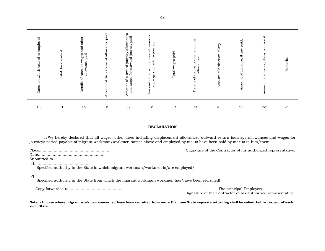| employed<br>$\mathtt{S}$<br>ceased<br>on which<br>Dates | worked<br>Total days | other<br>and<br>paid<br>wages<br>allowance<br>$\overline{\textbf{S}}$<br>etails of rates<br>Á | paid.<br>mount of displacement allowance<br>⋖ | allowances<br>paid<br>outward journey<br>journey<br>outward.<br>$\operatorname{for}$<br>wages<br>$_{\rm of}$<br>Amount<br>and | allowances<br>journey<br>journey<br>return<br>wages for<br>return.<br>ЪÇ<br>Amount<br>an, | Total wages paid | other<br>and<br>etails of compensation<br>allowances<br><b>△</b> | ,if any.<br>Amount of deduction | paid.<br>if any $\,$<br>Amount of advance, | ಕ<br>recor<br>$\operatorname{if\, any}$<br>of advance,<br>Amount | arks<br><b>Rema</b> |  |
|---------------------------------------------------------|----------------------|-----------------------------------------------------------------------------------------------|-----------------------------------------------|-------------------------------------------------------------------------------------------------------------------------------|-------------------------------------------------------------------------------------------|------------------|------------------------------------------------------------------|---------------------------------|--------------------------------------------|------------------------------------------------------------------|---------------------|--|
| 13                                                      | 14                   | 15                                                                                            | 16                                            | 17                                                                                                                            | 18                                                                                        | 19               | $20\,$                                                           | 21                              | 22                                         | 23                                                               | 24                  |  |

### **DECLARATION**

I/We hereby declared that all wages, other dues including displacement allowances outward return journeys allowances and wages for journeys period payable of migrant workman/workmen names above and employed by me us have been paid by me/us to him/them.

|                                                                                                   | Signature of the Contractor of his authorized representative.                              |  |  |  |  |  |  |  |  |  |  |
|---------------------------------------------------------------------------------------------------|--------------------------------------------------------------------------------------------|--|--|--|--|--|--|--|--|--|--|
|                                                                                                   |                                                                                            |  |  |  |  |  |  |  |  |  |  |
| Submitted to-                                                                                     |                                                                                            |  |  |  |  |  |  |  |  |  |  |
|                                                                                                   |                                                                                            |  |  |  |  |  |  |  |  |  |  |
| (Specified authority in the State in which migrant workman/workmen is/are employed/.              |                                                                                            |  |  |  |  |  |  |  |  |  |  |
| (Specified authority in the State from which the migrant workman/workmen has/have been recruited) |                                                                                            |  |  |  |  |  |  |  |  |  |  |
|                                                                                                   | (The principal Employer).<br>Signature of the Contractor of his authorized representative. |  |  |  |  |  |  |  |  |  |  |

**Note: - In case where migrant workmen concerned have been recruited from more than one State separate returning shall be submitted in respect of each such State.**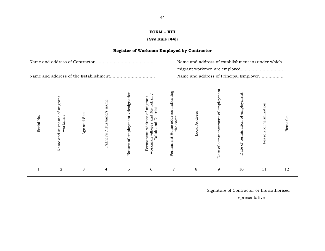## **FORM – XIII (***See* **Rule (44))**

## **Register of Workman Employed by Contractor**

| Name and address of establishment in/under which |  |  |  |  |  |
|--------------------------------------------------|--|--|--|--|--|
|                                                  |  |  |  |  |  |
| Name and address of Principal Employer           |  |  |  |  |  |

| $\bullet$<br>Serial No | of migrant<br>workmen<br>surname<br>and<br>Name | Sex<br>and<br>Age | /Husband's name<br>Father's | /designation<br>of employment<br>Nature | ∼<br>of migrant<br>1 Me Tehsil<br>Taluk and District<br>and Me'<br>Address<br>villages<br>Permanent<br>workman | address indicating<br>State<br>Permanent Home<br>the | Address<br>Local | employment<br>of commencement of<br>Date | employment.<br>$\rm ^{6}$<br>of termination<br>Date | Reason for termination | Remarks |  |
|------------------------|-------------------------------------------------|-------------------|-----------------------------|-----------------------------------------|----------------------------------------------------------------------------------------------------------------|------------------------------------------------------|------------------|------------------------------------------|-----------------------------------------------------|------------------------|---------|--|
|                        | 2                                               | 3                 | $\overline{4}$              | $\mathbf 5$                             | 6                                                                                                              | $\overline{7}$                                       | 8                | 9                                        | 10                                                  | 11                     | 12      |  |

Signature of Contractor or his authorised

representative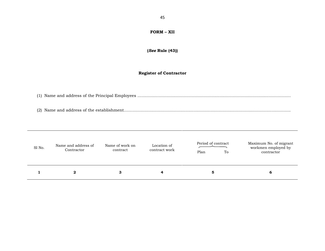## **FORM – XII**

### **(***See* **Rule (43))**

### **Register of Contractor**

Register of Contractor<br>(1) Name and address of the Principal Employees ……………………………………………………………………………………… (2) Name and address of the establishment…………………………………………………………………………………………………………..

| Sl No. | Name and address of<br>Contractor | Name of work on<br>contract | Location of<br>contract work | Period of contract<br>Plan<br>To | Maximum No. of migrant<br>workmen employed by<br>contractor |
|--------|-----------------------------------|-----------------------------|------------------------------|----------------------------------|-------------------------------------------------------------|
|        | $\mathbf{2}$                      | З                           | 4                            | 5                                | 6                                                           |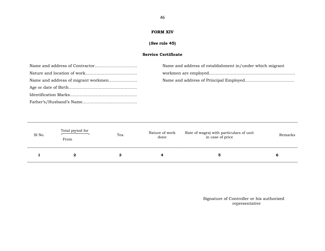## **FORM XIV**

## **(***See* **rule 45)**

## FORM XIV<br>(*See* rule 45)<br>Service Certificate

| Name and address of establishment in/under which migrant |
|----------------------------------------------------------|
|                                                          |
|                                                          |
|                                                          |
|                                                          |
|                                                          |

| Sl No. | Total period for<br>From | Tea | Nature of work<br>done | Rate of wages) with particulars of unit<br>in case of price | Remarks |
|--------|--------------------------|-----|------------------------|-------------------------------------------------------------|---------|
|        | 2                        | з   |                        | 5                                                           | O       |

Signature of Controller or his authorized representative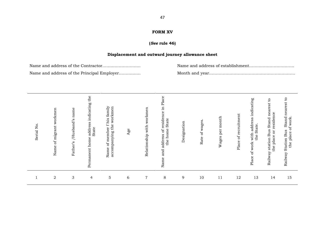### **FORM XV**

### **(***See* **rule 46)**

**Displacement and outward journey allowance sheet** Name and address of the Contractor………………………. Name and address of establishment…………………………… Name and address of the Principal Employer……………. Month and year………………………………………………………

| $\overline{\mathsf{z}}$<br>Serial | Name of migrant workmen | name<br>/Husband's<br>Father's | indicating the<br>address<br>State<br>Permanent home | of member f his family<br>workmen<br>accompanying the<br>Name | Age | workmen<br>with<br>Relationship | Place<br>Ħ.<br>residence<br>State<br>home<br>đ<br>address<br>the<br>and<br>Name | Designation | wages<br>ď<br>Rate | month<br>per<br>Wages | Place of recruitment | address indicating<br>the State.<br>with<br>of work<br>Place | $\mathtt{c}_1$<br>nearest<br>residence<br>station Bus Stand<br>the place or residen<br>Railway | $\mathbf{c}$<br>s Stand nearest t<br>cf work<br><b>Station Bus</b><br>place<br>the<br>Railway |
|-----------------------------------|-------------------------|--------------------------------|------------------------------------------------------|---------------------------------------------------------------|-----|---------------------------------|---------------------------------------------------------------------------------|-------------|--------------------|-----------------------|----------------------|--------------------------------------------------------------|------------------------------------------------------------------------------------------------|-----------------------------------------------------------------------------------------------|
|                                   | $\overline{a}$          | 3                              | $\overline{4}$                                       | $\overline{5}$                                                | 6   | $\overline{7}$                  | $\,8\,$                                                                         | 9           | 10                 | 11                    | 12                   | 13                                                           | 14                                                                                             | 15                                                                                            |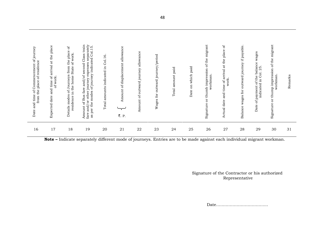| e of Commencement of journey the place of residence<br>Date and time<br>from | and time of arrival at the place<br>of work.<br>Expected date | ъÓ<br>Details modes of Journeys from the place<br>residence in the home State of work. | Amount of Bus fare and/of second Class train fare and/or other journey expenses separately as per the modes of journey indicated Col.15. | Total amounts indicated in Col.16 | Amount of displacement allowance<br>₹. P. | allowance<br>Amount of outward journey | outward journey/period<br>$_{\rm fof}$<br>Wages | amount paid<br>Total | Date on which paid | Signature or thumb impression of the migrant | $\rm ^{6}$<br>and time of arrival at the place<br>work.<br>Actual date | wages for outward journey if payable<br>Balance | wages<br>balance<br>indicated in Col. 25<br>of payment of the<br>Date | Signature or thump impression of the migrant<br>workman. | Remarks |  |
|------------------------------------------------------------------------------|---------------------------------------------------------------|----------------------------------------------------------------------------------------|------------------------------------------------------------------------------------------------------------------------------------------|-----------------------------------|-------------------------------------------|----------------------------------------|-------------------------------------------------|----------------------|--------------------|----------------------------------------------|------------------------------------------------------------------------|-------------------------------------------------|-----------------------------------------------------------------------|----------------------------------------------------------|---------|--|
| 16                                                                           | 17                                                            | 18                                                                                     | 19                                                                                                                                       | 20                                | 21                                        | 22                                     | 23                                              | 24                   | 25                 | 26                                           | 27                                                                     | 28                                              | 29                                                                    | 30                                                       | 31      |  |

**Note –** Indicate separately different mode of journeys. Entries are to be made against each individual migrant workman.

Signature of the Contractor or his authorized Representative

Date………………………………..

48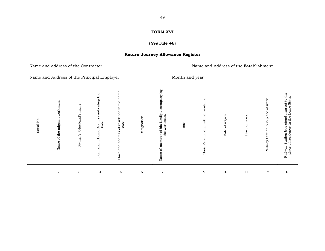### **FORM XVI**

### **(***See* **rule 46)**

### **Return Journey Allowance Register**

Name and address of the Contractor Name and Address of the Establishment

Name and Address of the Principal Employer\_\_\_\_\_\_\_\_\_\_\_\_\_\_\_\_\_\_\_\_\_\_\_\_\_ Month and year\_\_\_\_\_\_\_\_\_\_\_\_\_\_\_\_\_\_\_\_\_\_\_\_\_\_\_\_

| Serial No.   | Name of the migrant workman | /Husband's name<br>Father's | Address indicating the<br>State<br>Permanent Home | Place and address of residence in the home<br>State | Designation | family accompanying<br>the workman.<br>of his<br>Name of member | Age     | workman<br>Their Relationship with eh | Rate of wages | ${\rm work}$<br>Place of | of work<br>Station bus place<br>Railway | Railway Station bus stand nearest to the<br>place of residence in the home State.<br>place |
|--------------|-----------------------------|-----------------------------|---------------------------------------------------|-----------------------------------------------------|-------------|-----------------------------------------------------------------|---------|---------------------------------------|---------------|--------------------------|-----------------------------------------|--------------------------------------------------------------------------------------------|
| $\mathbf{1}$ | $\,2$                       | 3                           | $\overline{4}$                                    | $\mathbf 5$                                         | $\sqrt{6}$  | $\boldsymbol{7}$                                                | $\,8\,$ | 9                                     | 10            | 11                       | 12                                      | 13                                                                                         |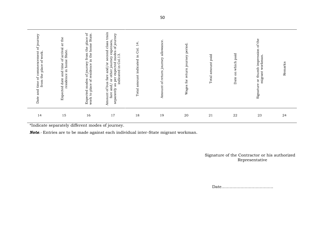| 23<br>22                                                                                                          | 21                   | 20                                    | 19                                         | 18                                                            | 17                                                                                                                                                                                                                                      | 16                                                                                                                                                      | 15                                                                                                                             | 14                                                                                                     |
|-------------------------------------------------------------------------------------------------------------------|----------------------|---------------------------------------|--------------------------------------------|---------------------------------------------------------------|-----------------------------------------------------------------------------------------------------------------------------------------------------------------------------------------------------------------------------------------|---------------------------------------------------------------------------------------------------------------------------------------------------------|--------------------------------------------------------------------------------------------------------------------------------|--------------------------------------------------------------------------------------------------------|
| the<br>ЪÇ<br>impression<br>paid<br>workman<br>which<br>or thumb<br>migrant<br>$\overline{a}$<br>Date<br>Signature | paid<br>Total amount | return journey period<br>for<br>Wages | allowance<br>return journey<br>đ<br>Amount | $\overline{4}$<br>ತ<br>indicated in<br>amount<br><b>Total</b> | train<br>ney<br>jour<br>expenses<br>class<br>$\sigma$<br>second<br>modes<br>Col.13<br>journey<br>expected<br>ð<br>Ħ.<br>and/<br>other<br>indicated<br>${\rm fare}$<br>per<br>ðr<br>of bus<br>as<br>and/<br>separately<br>Amount<br>fare | place of<br>State.<br>home<br>$_{\rm the}$<br>of journey from<br>residence in the<br>modes<br>$\rm ^{6}$<br>place<br>Expected<br>$\mathfrak{S}$<br>work | the<br>$\overleftrightarrow{\mathrm{a}}$<br>arrival<br>State.<br>ЪP<br>in home<br>time<br>and<br>residence<br>date<br>Expected | of journey<br>commencement<br>work.<br>ď<br>place<br>the<br>$5^{\circ}$<br>from<br>time<br>and<br>Date |

Signature of the Contractor or his authorized Representative

Date………………………………..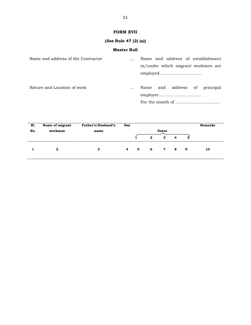## **FORM XVII**

## **(***See* **Rule 47 (2) (a))**

## **Muster Roll**

|                                    | (See Rule 47 (2) (a)) |                                                                         |
|------------------------------------|-----------------------|-------------------------------------------------------------------------|
|                                    | <b>Muster Roll</b>    |                                                                         |
| Name and address of the Contractor |                       | Name and address of establishment<br>in/under which migrant workmen are |
| Nature and Location of work        | $\cdots$              | Name and address of<br>principal                                        |

| S1. | Name of migrant | Father's/Husband's | <b>Sex</b> |   |                |              |   |                          | <b>Remarks</b> |
|-----|-----------------|--------------------|------------|---|----------------|--------------|---|--------------------------|----------------|
| No. | workman         | name               |            |   |                | <b>Dates</b> |   |                          |                |
|     |                 |                    |            |   | $\overline{2}$ | 3            | 4 | $5^{\circ}$              |                |
|     |                 | З                  | 4          | 5 | $6^{\circ}$    | 7 8          |   | $\overline{\phantom{a}}$ | 10             |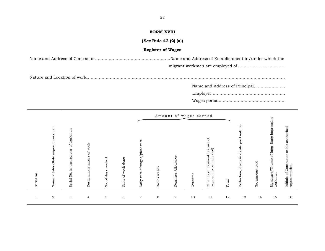### **FORM XVIII**

**(***See* **Rule 42 (2) (a))**

### **Register of Wages**

Name and Address of Contractor……………………………………………….Name and Address of Establishment in/under which the migrant workmen are employed of…………………………….. Name and Address of Principal…………………..

Nature and Location of work……………………………………………………………………………………………………………………………….

Employer………………………………………………

|            |                                                                   |                                                      |                                        |                          |                                |                                                     |                 | Amount of wages earned |          |                                                                                          |       |                                                              |                    |                                                                 |                                                                             |
|------------|-------------------------------------------------------------------|------------------------------------------------------|----------------------------------------|--------------------------|--------------------------------|-----------------------------------------------------|-----------------|------------------------|----------|------------------------------------------------------------------------------------------|-------|--------------------------------------------------------------|--------------------|-----------------------------------------------------------------|-----------------------------------------------------------------------------|
| Serial No. | workman.<br>migrant<br>-State<br>Inter-<br>$\mathfrak{b}$<br>Name | workman<br>ЪÇ<br>register<br>the<br>Ę.<br>Serial No. | work<br>$\sigma$<br>Designation/nature | worked<br>of days<br>No. | work done<br>$\sigma$<br>Units | rate<br>Ō<br>wages/pi<br>$\rm ^{6}$<br>ate<br>Daily | wages<br>Basics | Allowance<br>Dearness  | Overtime | ЪÇ<br>(Nature<br>indicated)<br>payment<br>be<br>$\mathbf{c}$<br>cash<br>payment<br>Other | Total | nature)<br>paid<br><i>indicate</i><br>any<br>H.<br>Deduction | amount paid<br>No. | -State impression<br>of Inter<br>Thumb<br>Signature/<br>workman | authorized<br>his<br>$\rm 5$<br>of Contractor<br>representative<br>Initials |
|            | $\overline{2}$                                                    | 3                                                    | $\overline{4}$                         | 5                        | 6                              | $\overline{7}$                                      | 8               | 9                      | 10       | 11                                                                                       | 12    | 13                                                           | 14                 | 15                                                              | 16                                                                          |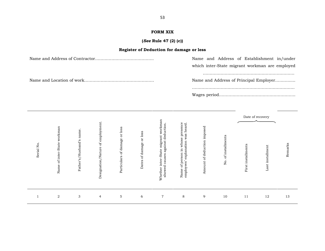## **FORM XIX**

## **(***See* **Rule 47 (2) (c)) Register of Deduction for damage or less**

| Name and Address of Establishment in/under     |
|------------------------------------------------|
| which inter-State migrant workman are employed |
|                                                |
| Name and Address of Principal Employer         |
|                                                |
|                                                |

| Serial No | workman<br>-State<br>of inter-<br>Name | name<br>Father's/Husband's | Ħ.<br>employm<br>Ъp<br>Designation/Nature | or loss<br>of damage<br>Particulars | or loss<br>of damage<br>Dates | workman<br>deduction<br>migrant<br>against<br>State<br>causes<br>inter-<br>showed<br>Whether | Name of person in whose presence<br>employees' explanation was heard. | Amount of deduction imposed | of installments<br>No. | Date of recovery<br>First installments | Last installment | Remarks |  |
|-----------|----------------------------------------|----------------------------|-------------------------------------------|-------------------------------------|-------------------------------|----------------------------------------------------------------------------------------------|-----------------------------------------------------------------------|-----------------------------|------------------------|----------------------------------------|------------------|---------|--|
|           | $\overline{a}$                         | 3                          | $\overline{4}$                            | 5                                   | 6                             | $\overline{7}$                                                                               | 8                                                                     | 9                           | 10                     | 11                                     | 12               | 13      |  |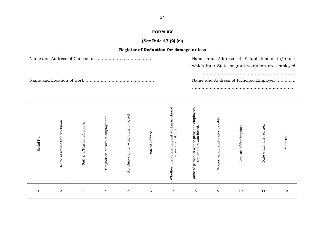### **FORM XX**

### **(***See* **Rule 47 (2) (c))**

### **Register of Deduction for damage or less** Name and Address of Contractor……………………………………. Name and Address of Establishment in/under which inter-State migrant workman are employed …………………………………………………………. Name and Location of work…………………………………………… Name and Address of Principal Employer………...... ………………………………………………………………… d's $\overline{\phantom{0}}$ eueo $\mathbf{y}$ d $\mathbf{a}$ otes $\overline{\phantom{0}}$ ns $\mathbf{p}$ ean e $\frac{3}{2}$ mء em $\mathbf{p}$ a $\mathbf{x}$  and  $\mathbf{y}$ mmemam e ay ddo $\rtimes$ ರ ಧ eeki rr $\mathbf{p}$ sN  $\overline{\phantom{0}}$  $\mathbf{p}$ eoenaoion smneneم siy ∺ H iseਸ਼ ਦ  $\geq$  and the set of  $\geq$ f $\circ$ f $\ddot{\,}$ e $\Xi$ م  $\overline{\phantom{0}}$

| Serial No | Name of inter-State workman | Father's/Husband's name | Designation Nature of employment. | Act Omission for which fine imposed | Date of Offence | workman shoul<br>causes against fine.<br>Whether inter-State migrant | g<br>employ<br>Name of person in whose presence<br>explanation was heard. | Wages period and wages payable | Amount of fine imposed | Date which fine realized | Remarks |
|-----------|-----------------------------|-------------------------|-----------------------------------|-------------------------------------|-----------------|----------------------------------------------------------------------|---------------------------------------------------------------------------|--------------------------------|------------------------|--------------------------|---------|
|           | $\sqrt{2}$                  | 3                       | $\overline{4}$                    | 5                                   | 6               | $\overline{7}$                                                       | 8                                                                         | 9                              | 10                     | 11                       | 12      |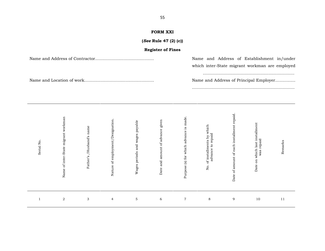## **FORM XXI**

### **(***See* **Rule 47 (2) (c))**

| <b>FORM XXI</b>          |                                                                                              |
|--------------------------|----------------------------------------------------------------------------------------------|
| (See Rule 47 (2) (c))    |                                                                                              |
| <b>Register of Fines</b> |                                                                                              |
|                          | Name and Address of Establishment in/under<br>which inter-State migrant workman are employed |
|                          | Name and Address of Principal Employer                                                       |

| Serial No | Name of inter-State migrant workman | /Husband's name<br>Father's | Nature of employment/Designation. | Wages periods and wages payable | Date and amount of advance given | Purpose (s) for which advance is made. | No. of installments by which<br>advance to repaid | Date of amount of each installment repaid | Date on which last installment<br>was repaid | Remarks |
|-----------|-------------------------------------|-----------------------------|-----------------------------------|---------------------------------|----------------------------------|----------------------------------------|---------------------------------------------------|-------------------------------------------|----------------------------------------------|---------|
|           | $\boldsymbol{2}$                    | 3                           | $\overline{4}$                    | $\mathbf{5}$                    | 6                                | $\overline{7}$                         | $\,8\,$                                           | 9                                         | 10                                           | 11      |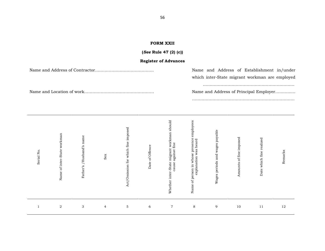### **FORM XXII**

## **(***See* **Rule 47 (2) (c))**

### **Register of Advances**

Name and Address of Contractor……………………………………. Name and Address of Establishment in/under

which inter-State migrant workman are employed

………………………………………………………….

Name and Location of work…………………………………………… Name and Address of Principal Employer………......

…………………………………………………………………

| $\bullet$<br>Serial No | Name of inter-State workman | Father's /Husband's name | Sex            | Act/Omission for which fine imposed | Date of Offence | workman should<br>against fine<br>Whether inter-State migrant<br>cause | Name of person in whose presence employees<br>explanation was heard<br>explanation | Wages periods and wages payable | Amounts of fine imposed | Date which fine realized | Remarks |
|------------------------|-----------------------------|--------------------------|----------------|-------------------------------------|-----------------|------------------------------------------------------------------------|------------------------------------------------------------------------------------|---------------------------------|-------------------------|--------------------------|---------|
|                        | $\,2$                       | 3                        | $\overline{4}$ | $\mathbf 5$                         | $\,$ 6 $\,$     | $\overline{7}$                                                         | $\,8\,$                                                                            | 9                               | 10                      | 11                       | 12      |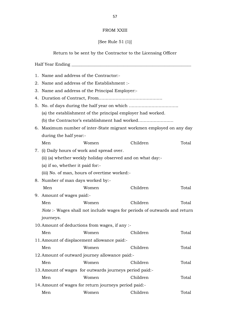### FROM XXIII

## [See Rule 51 (1)]

Return to be sent by the Contractor to the Licensing Officer

Return to be sent by the Contractor to the Licensing Officer<br>
Half Year Ending<br>
1. Name and address of the Contractor:-<br>
2. Name and address of the Establishment :-9. Half Year Ending<br>
1. Name and address of the Contractor:<br>
2. Name and address of the Establishment<br>
2. Name and address of the Principal Employer: 3. Name and address of the Principal Employer:- 4. Duration of Contract, From……………………………………… 5. No. of days during the half year on which …………………………….. (a) the establishment of the principal employer had worked. (b) the Contractor's establishment had worked……………………. 6. Maximum number of inter-State migrant workmen employed on any day during the half year:- Men Women Children Total 9. Maximum number of inter-State migrant wo<br>during the half year:-<br>Men Women C<br>7. (i) Daily hours of work and spread over.<br>(ii) (a) whether weekly holiday observed and (ii) (a) whether weekly holiday observed and on what day:-<br>
(a) if so, whether it paid for:-<br>
(iii) No. of man, hours of overtime worked:-<br>
8. Number of man days worked by:-<br>
Men Women Children (a) if so, whether it paid for:- (iii) No. of man, hours of overtime worked:- Men Women Children Total 8. Number of man days worked by:-<br>Men Women<br>9. Amount of wages paid:-<br>Men Women Men Women Children Total Men Women Children Total<br>
Amount of wages paid:-<br>
Men Women Children Total<br> *Note* :- Wages shall not include wages for periods of outwards and return journeys. 10.Amount of deductions from wages, if any :- Men Women Children Total 11.Amount of displacement allowance paid:- Men Women Children Total 12.Amount of outward journey allowance paid:- Men Women Children Total 13.Amount of wages for outwards journeys period paid:- Men Women Children Total 14.Amount of wages for return journeys period paid:- Men Women Children Total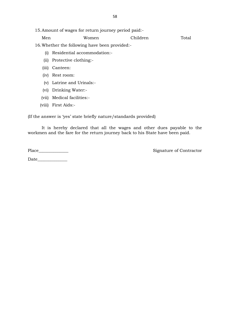|       | . Amount of wages for return journey period paid: |          |       |  |  |  |  |  |  |
|-------|---------------------------------------------------|----------|-------|--|--|--|--|--|--|
| Men   | Women                                             | Children | Total |  |  |  |  |  |  |
|       | Whether the following have been provided:         |          |       |  |  |  |  |  |  |
| (i)   | Residential accommodation:-                       |          |       |  |  |  |  |  |  |
| (i)   | Protective clothing:-                             |          |       |  |  |  |  |  |  |
| (111) | Canteen:                                          |          |       |  |  |  |  |  |  |

16.Whether the following have been provided:-

- (i) Residential accommodation:<br>
(ii) Protective clothing:-<br>
(iii) Canteen:<br>
(iv) Rest room:
- Whether the following<br>
(i) Residential accor<br>
(ii) Protective clothin<br>
(iii) Canteen:<br>
(iv) Rest room:
- 
- 
- (ii) Protective clothing:-<br>iii) Canteen:<br>iv) Rest room:<br>(v) Latrine and Urinals:-<br>vi) Drinking Water:-(iii) Canteen:<br>(iv) Rest room:<br>(v) Latrine and Urinals:-<br>(vi) Drinking Water:-<br>vii) Medical facilities:-(iv) Rest room:<br>
(v) Latrine and Urinals:-<br>
(vi) Drinking Water:-<br>
(vii) Medical facilities:-<br>
viii) First Aids:-
- 
- (vi) Drinking Water:-<br>(vii) Medical facilities:-<br>(viii) First Aids:-
- 

(If the answer is 'yes' state briefly nature/standards provided)

It is hereby declared that all the wages and other dues payable to the workmen and the fare for the return journey back to his State have been paid.

Place\_\_\_\_\_\_\_\_\_\_\_\_\_\_ Signature of Contractor

Date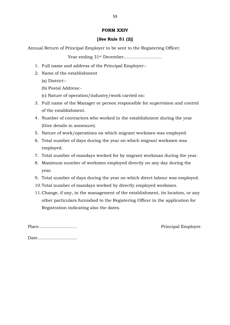## **FORM XXIV**

## **[***See* **Rule 51 (2)]**

Annual Return of Principal Employer to be sent to the Registering Officer.  $1.3$ <br>
1. Full name and address of the Principal Employer:<br>
2. Name of the establishment

Year ending 31st December………………………

- 1. Full name and address of the Principal Employer:-<br>2. Name of the establishment
- - (a) District:-
	- (b) Postal Address:-
	- (c) Nature of operation/industry/work carried on:
- 9. (a) District:-<br>3. Full name of the Manager or person responsible for supervision and control<br>3. Full name of the Manager or person responsible for supervision and control<br>6. The establishment. of the establishment. 4. The establishment of the Manager or person responsible for supervision and control<br>3. Full name of the Manager or person responsible for supervision and control<br>4. Number of contractors who worked in the establishment d
- (Give details in annexure). 9. 1. Number of contractors who worked in the establishment during the year<br>1. Nature of work/operations on which migrant workmen was employed.<br>1. Total number of days during the year on which migrant workmen was employed. 4. Number of contractors who worked in the establishment during the year (Give details in annexure).<br>5. Nature of work/operations on which migrant workmen was employed.<br>6. Total number of days during the year on which migr
- 
- employed. 1. Total number of days during the year on which migrant workmen was employed.<br>
1. Total number of days during the year on which migrant workmen was employed.<br>
1. Total number of mandays worked for by migrant workman durin
- 
- 8. Total number of days during the year on which migrant workmen was<br>employed.<br>7. Total number of mandays worked for by migrant workman during the year.<br>8. Maximum number of workmen employed directly on any day during the<br> year. 9. Total number of mandays worked for by migrant workman during the year.<br>
9. Maximum number of workmen employed directly on any day during the year.<br>
9. Total number of days during the year on which direct labour was empl
- 
- 
- 10.Total number of mandays worked by directly employed workmen. Registration indicating also the dates. 11.Change, if any, in the management of the establishment, its location, or any Total number of days during the year on which direct labour was employed.<br>Total number of mandays worked by directly employed workmen.<br>Change, if any, in the management of the establishment, its location, or any<br>other part

Place……………………… Principal Employer.

Date……………………….